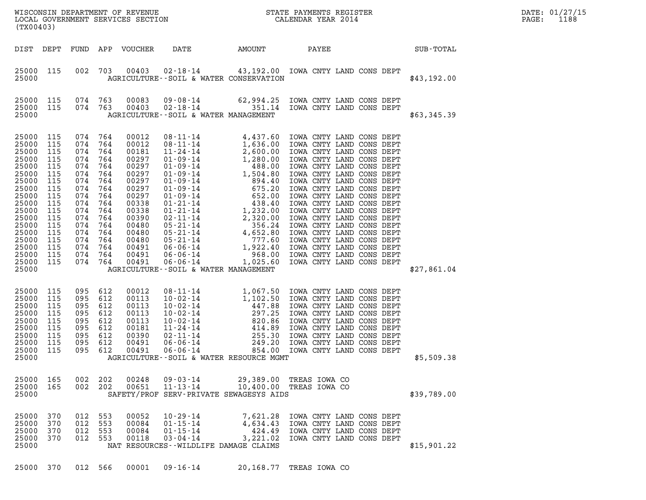| WISCONSIN DEPARTMENT OF REVENUE   | STATE PAYMENTS REGISTER | DATE: 01/27/15 |
|-----------------------------------|-------------------------|----------------|
| LOCAL GOVERNMENT SERVICES SECTION | CALENDAR YEAR 2014      | 1188<br>PAGE:  |

| (TX00403)                                                                                                                                                                               |                                                                                                |                                                                                                                                                                                            |                          |                                                                                                                                                                |                                                                                                                  |                                            | WISCONSIN DEPARTMENT OF REVENUE<br>LOCAL GOVERNMENT SERVICES SECTION FOR THE STATE PAYMENTS REGISTER<br>(TYO0403) |             | DATE: 01/27/15<br>PAGE:<br>1188 |
|-----------------------------------------------------------------------------------------------------------------------------------------------------------------------------------------|------------------------------------------------------------------------------------------------|--------------------------------------------------------------------------------------------------------------------------------------------------------------------------------------------|--------------------------|----------------------------------------------------------------------------------------------------------------------------------------------------------------|------------------------------------------------------------------------------------------------------------------|--------------------------------------------|-------------------------------------------------------------------------------------------------------------------|-------------|---------------------------------|
| DIST DEPT                                                                                                                                                                               |                                                                                                |                                                                                                                                                                                            |                          |                                                                                                                                                                | FUND APP VOUCHER DATE AMOUNT PAYEE                                                                               |                                            | SUB-TOTAL                                                                                                         |             |                                 |
| 25000 115<br>25000                                                                                                                                                                      |                                                                                                | 002 703                                                                                                                                                                                    |                          | 00403                                                                                                                                                          | AGRICULTURE--SOIL & WATER CONSERVATION                                                                           |                                            | 02-18-14 43,192.00 IOWA CNTY LAND CONS DEPT                                                                       | \$43,192.00 |                                 |
| 25000 115<br>25000 115<br>25000                                                                                                                                                         |                                                                                                | 074 763                                                                                                                                                                                    | 074 763                  | 00083<br>00403                                                                                                                                                 | AGRICULTURE--SOIL & WATER MANAGEMENT                                                                             |                                            | 09-08-14 62,994.25 IOWA CNTY LAND CONS DEPT<br>02-18-14 02-18-14 351.14 IOWA CNTY LAND CONS DEPT                  | \$63,345.39 |                                 |
| 25000 115<br>25000<br>25000<br>25000<br>25000<br>25000<br>25000<br>25000<br>25000<br>25000<br>25000<br>25000<br>25000<br>25000<br>25000<br>25000 115<br>25000 115<br>25000 115<br>25000 | 115<br>115<br>115<br>115<br>115<br>115<br>115<br>115<br>115<br>115<br>115<br>115<br>115<br>115 | 074 764<br>074 764<br>074 764<br>074 764<br>074 764<br>074<br>074 764<br>074 764<br>074 764<br>074<br>074 764<br>074 764<br>074 764<br>074 764<br>074 764<br>074 764<br>074 764<br>074 764 | 764<br>764               | 00012<br>00012<br>00181<br>00297<br>00297<br>00297<br>00297<br>00297<br>00297<br>00338<br>00338<br>00390<br>00480<br>00480<br>00480<br>00491<br>00491<br>00491 | AGRICULTURE--SOIL & WATER MANAGEMENT                                                                             |                                            |                                                                                                                   | \$27,861.04 |                                 |
| 25000<br>25000<br>25000<br>25000<br>25000<br>25000<br>25000<br>25000 115<br>25000 115<br>25000                                                                                          | 115<br>115<br>115<br>115<br>115<br>115<br>115                                                  | 095<br>095 612<br>095 612<br>095<br>095<br>095 612<br>095 612<br>095 612<br>095 612                                                                                                        | 612<br>612<br>612        | 00012<br>00113<br>00113<br>00113<br>00113<br>00181<br>00390<br>00491<br>00491                                                                                  | AGRICULTURE--SOIL & WATER RESOURCE MGMT                                                                          |                                            |                                                                                                                   | \$5,509.38  |                                 |
| 25000<br>25000<br>25000                                                                                                                                                                 | 165<br>165                                                                                     | 002<br>002                                                                                                                                                                                 | 202<br>202               | 00248<br>00651                                                                                                                                                 | $09 - 03 - 14$<br>$11 - 13 - 14$<br>SAFETY/PROF SERV-PRIVATE SEWAGESYS AIDS                                      | 29,389.00<br>10,400.00                     | TREAS IOWA CO<br>TREAS IOWA CO                                                                                    | \$39,789.00 |                                 |
| 25000<br>25000<br>25000<br>25000<br>25000                                                                                                                                               | 370<br>370<br>370<br>370                                                                       | 012<br>012<br>012<br>012                                                                                                                                                                   | 553<br>553<br>553<br>553 | 00052<br>00084<br>00084<br>00118                                                                                                                               | $10 - 29 - 14$<br>$01 - 15 - 14$<br>$01 - 15 - 14$<br>$03 - 04 - 14$<br>NAT RESOURCES - - WILDLIFE DAMAGE CLAIMS | 7,621.28<br>4,634.43<br>424.49<br>3,221.02 | IOWA CNTY LAND CONS DEPT<br>IOWA CNTY LAND CONS DEPT<br>IOWA CNTY LAND CONS DEPT<br>IOWA CNTY LAND CONS DEPT      | \$15,901.22 |                                 |

25000 370 012 566 00001 09-16-14 20,168.77 TREAS IOWA CO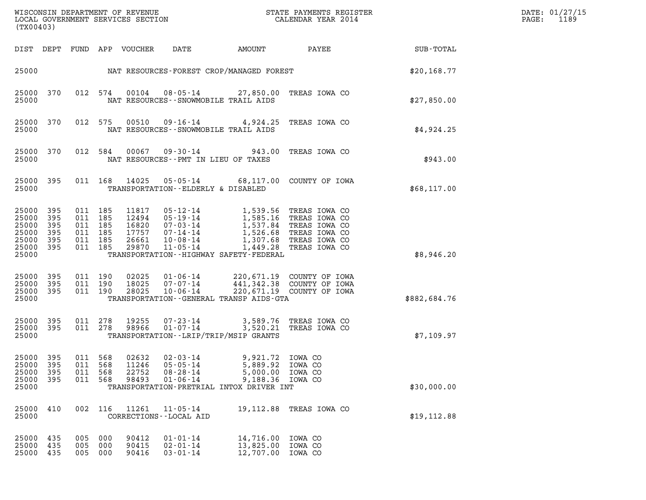| (TX00403)                                                                                          |                   |                                                                |                                  |                                                                                                                  |                                              | DATE: 01/27/15<br>1189<br>PAGE:                                                                                                                                                           |              |  |
|----------------------------------------------------------------------------------------------------|-------------------|----------------------------------------------------------------|----------------------------------|------------------------------------------------------------------------------------------------------------------|----------------------------------------------|-------------------------------------------------------------------------------------------------------------------------------------------------------------------------------------------|--------------|--|
| DIST DEPT FUND APP VOUCHER                                                                         |                   |                                                                |                                  | DATE                                                                                                             | AMOUNT                                       | <b>PAYEE</b> FOR THE PAYEE                                                                                                                                                                | SUB-TOTAL    |  |
|                                                                                                    |                   |                                                                |                                  | 25000 NAT RESOURCES-FOREST CROP/MANAGED FOREST                                                                   |                                              |                                                                                                                                                                                           | \$20,168.77  |  |
| 25000<br>370<br>25000                                                                              |                   | 012 574                                                        |                                  | NAT RESOURCES - - SNOWMOBILE TRAIL AIDS                                                                          |                                              | 00104  08-05-14  27,850.00 TREAS IOWA CO                                                                                                                                                  | \$27,850.00  |  |
| 25000<br>370<br>25000                                                                              |                   | 012 575                                                        | 00510                            | NAT RESOURCES - - SNOWMOBILE TRAIL AIDS                                                                          |                                              | 09-16-14 4,924.25 TREAS IOWA CO                                                                                                                                                           | \$4,924.25   |  |
| 25000<br>370<br>25000                                                                              |                   | 012 584                                                        | 00067                            | $09 - 30 - 14$<br>NAT RESOURCES -- PMT IN LIEU OF TAXES                                                          |                                              | 943.00 TREAS IOWA CO                                                                                                                                                                      | \$943.00     |  |
| 25000<br>395<br>25000                                                                              |                   | 011 168                                                        | 14025                            | TRANSPORTATION--ELDERLY & DISABLED                                                                               |                                              | 05-05-14 68,117.00 COUNTY OF IOWA                                                                                                                                                         | \$68,117.00  |  |
| 25000<br>395<br>25000<br>395<br>25000<br>395<br>25000<br>395<br>25000<br>395<br>25000 395<br>25000 |                   | 011 185<br>011 185<br>011 185<br>011 185<br>011 185<br>011 185 | 11817<br>12494<br>26661<br>29870 | $05 - 19 - 14$<br>17757 07-14-14<br>$10 - 08 - 14$<br>11-05-14<br>TRANSPORTATION - - HIGHWAY SAFETY - FEDERAL    |                                              | 05-12-14 1,539.56 TREAS IOWA CO<br>05-19-14 1,585.16 TREAS IOWA CO<br>16820 07-03-14 1,537.84 TREAS IOWA CO<br>1,526.68 TREAS IOWA CO<br>1,307.68 TREAS IOWA CO<br>1,449.28 TREAS IOWA CO | \$8,946.20   |  |
| 25000 395<br>25000<br>395<br>25000 395<br>25000                                                    |                   | 011 190<br>011 190<br>011 190                                  | 02025<br>18025<br>28025          | $01 - 06 - 14$<br>07-07-14<br>$10 - 06 - 14$<br>TRANSPORTATION--GENERAL TRANSP AIDS-GTA                          |                                              | 220,671.19 COUNTY OF IOWA<br>441,342.38 COUNTY OF IOWA<br>220,671.19 COUNTY OF IOWA                                                                                                       | \$882,684.76 |  |
| 25000 395<br>25000 395<br>25000                                                                    |                   | 011 278<br>011 278                                             | 19255<br>98966                   | 07-23-14<br>$01 - 07 - 14$<br>TRANSPORTATION - - LRIP/TRIP/MSIP GRANTS                                           |                                              | 3,589.76 TREAS IOWA CO<br>3,520.21 TREAS IOWA CO                                                                                                                                          | \$7,109.97   |  |
| 25000<br>395<br>25000<br>395<br>25000<br>395<br>25000<br>395<br>25000                              | 011<br>011<br>011 | 568<br>568<br>568<br>011 568                                   | 02632<br>11246<br>22752<br>98493 | $02 - 03 - 14$<br>$05 - 05 - 14$<br>$08 - 28 - 14$<br>$01 - 06 - 14$<br>TRANSPORTATION-PRETRIAL INTOX DRIVER INT | 9,921.72<br>5,889.92<br>5,000.00<br>9,188.36 | IOWA CO<br>IOWA CO<br>IOWA CO<br>IOWA CO                                                                                                                                                  | \$30,000.00  |  |
| 25000<br>410<br>25000                                                                              | 002               | 116                                                            | 11261                            | $11 - 05 - 14$<br>CORRECTIONS - - LOCAL AID                                                                      | 19,112.88                                    | TREAS IOWA CO                                                                                                                                                                             | \$19, 112.88 |  |
| 25000<br>435<br>25000<br>435<br>25000<br>435                                                       | 005<br>005<br>005 | 000<br>000<br>000                                              | 90412<br>90415<br>90416          | $01 - 01 - 14$<br>$02 - 01 - 14$<br>$03 - 01 - 14$                                                               | 14,716.00<br>13,825.00<br>12,707.00          | IOWA CO<br>IOWA CO<br>IOWA CO                                                                                                                                                             |              |  |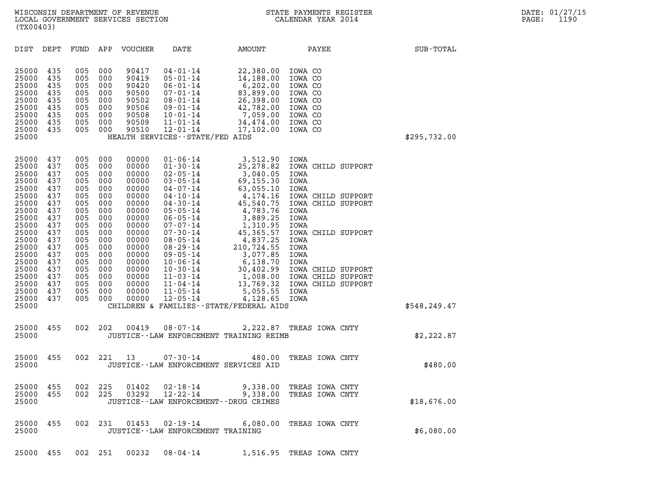| (TX00403)                                                                                                |                                                                                  |                                                                                  |                                                                                  |                                                                                                          |                                                                                                                                                                                                                      |                                                                                                                                                     |                                                                                                                                                      |               |  |
|----------------------------------------------------------------------------------------------------------|----------------------------------------------------------------------------------|----------------------------------------------------------------------------------|----------------------------------------------------------------------------------|----------------------------------------------------------------------------------------------------------|----------------------------------------------------------------------------------------------------------------------------------------------------------------------------------------------------------------------|-----------------------------------------------------------------------------------------------------------------------------------------------------|------------------------------------------------------------------------------------------------------------------------------------------------------|---------------|--|
| DIST                                                                                                     | DEPT                                                                             | FUND                                                                             | APP                                                                              | <b>VOUCHER</b>                                                                                           | DATE                                                                                                                                                                                                                 | AMOUNT                                                                                                                                              | PAYEE                                                                                                                                                | SUB-TOTAL     |  |
| 25000<br>25000<br>25000<br>25000<br>25000<br>25000<br>25000<br>25000<br>25000<br>25000                   | 435<br>435<br>435<br>435<br>435<br>435<br>435<br>435<br>435                      | 005<br>005<br>005<br>005<br>005<br>005<br>005<br>005<br>005                      | 000<br>000<br>000<br>000<br>000<br>000<br>000<br>000<br>000                      | 90417<br>90419<br>90420<br>90500<br>90502<br>90506<br>90508<br>90509<br>90510                            | $04 - 01 - 14$<br>$05 - 01 - 14$<br>$06 - 01 - 14$<br>$07 - 01 - 14$<br>$08 - 01 - 14$<br>$09 - 01 - 14$<br>$10 - 01 - 14$<br>$11 - 01 - 14$<br>$12 - 01 - 14$<br>HEALTH SERVICES - - STATE/FED AIDS                 | 22,380.00<br>14,188.00<br>6,202.00<br>83,899.00<br>26,398.00<br>42,782.00<br>7,059.00<br>34,474.00<br>17,102.00                                     | IOWA CO<br>IOWA CO<br>IOWA CO<br>IOWA CO<br>IOWA CO<br>IOWA CO<br>IOWA CO<br>IOWA CO<br>IOWA CO                                                      | \$295,732.00  |  |
| 25000<br>25000<br>25000<br>25000<br>25000<br>25000<br>25000<br>25000<br>25000<br>25000<br>25000<br>25000 | 437<br>437<br>437<br>437<br>437<br>437<br>437<br>437<br>437<br>437<br>437<br>437 | 005<br>005<br>005<br>005<br>005<br>005<br>005<br>005<br>005<br>005<br>005<br>005 | 000<br>000<br>000<br>000<br>000<br>000<br>000<br>000<br>000<br>000<br>000<br>000 | 00000<br>00000<br>00000<br>00000<br>00000<br>00000<br>00000<br>00000<br>00000<br>00000<br>00000<br>00000 | $01 - 06 - 14$<br>$01 - 30 - 14$<br>$02 - 05 - 14$<br>$03 - 05 - 14$<br>$04 - 07 - 14$<br>$04 - 10 - 14$<br>$04 - 30 - 14$<br>$05 - 05 - 14$<br>$06 - 05 - 14$<br>$07 - 07 - 14$<br>$07 - 30 - 14$<br>$08 - 05 - 14$ | 3,512.90<br>25, 278.82<br>3,040.05<br>69,155.30<br>63,055.10<br>4,174.16<br>45,540.75<br>4,783.76<br>3,889.25<br>1,310.95<br>45, 365.57<br>4,837.25 | IOWA<br>IOWA CHILD SUPPORT<br>IOWA<br>IOWA<br>IOWA<br>IOWA CHILD SUPPORT<br>IOWA CHILD SUPPORT<br>IOWA<br>IOWA<br>IOWA<br>IOWA CHILD SUPPORT<br>IOWA |               |  |
| 25000<br>25000<br>25000<br>25000<br>25000<br>25000<br>25000<br>25000<br>25000                            | 437<br>437<br>437<br>437<br>437<br>437<br>437<br>437                             | 005<br>005<br>005<br>005<br>005<br>005<br>005<br>005                             | 000<br>000<br>000<br>000<br>000<br>000<br>000<br>000                             | 00000<br>00000<br>00000<br>00000<br>00000<br>00000<br>00000<br>00000                                     | $08 - 29 - 14$<br>$09 - 05 - 14$<br>$10 - 06 - 14$<br>$10 - 30 - 14$<br>$11 - 03 - 14$<br>$11 - 04 - 14$<br>$11 - 05 - 14$<br>$12 - 05 - 14$                                                                         | 210,724.55<br>3,077.85<br>6,138.70<br>30,402.99<br>1,008.00<br>13,769.32<br>5,055.55<br>4,128.65<br>CHILDREN & FAMILIES - - STATE/FEDERAL AIDS      | IOWA<br>IOWA<br>IOWA<br>IOWA CHILD SUPPORT<br>IOWA CHILD SUPPORT<br>IOWA CHILD SUPPORT<br>IOWA<br>IOWA                                               | \$548, 249.47 |  |
| 25000<br>25000                                                                                           | 455                                                                              | 002                                                                              | 202                                                                              | 00419                                                                                                    | $08 - 07 - 14$                                                                                                                                                                                                       | 2,222.87<br>JUSTICE -- LAW ENFORCEMENT TRAINING REIMB                                                                                               | TREAS IOWA CNTY                                                                                                                                      | \$2,222.87    |  |
| 25000<br>25000                                                                                           | 455                                                                              | 002                                                                              | 221                                                                              | 13                                                                                                       | $07 - 30 - 14$<br>JUSTICE -- LAW ENFORCEMENT SERVICES AID                                                                                                                                                            | 480.00                                                                                                                                              | TREAS IOWA CNTY                                                                                                                                      | \$480.00      |  |
| 25000<br>25000<br>25000                                                                                  | 455<br>455                                                                       | 002                                                                              | 225<br>002 225                                                                   | 01402                                                                                                    | $02 - 18 - 14$<br>03292 12-22-14<br>JUSTICE - - LAW ENFORCEMENT - - DRUG CRIMES                                                                                                                                      | 9,338.00<br>9,338.00                                                                                                                                | TREAS IOWA CNTY<br>TREAS IOWA CNTY                                                                                                                   | \$18,676.00   |  |
| 25000<br>25000                                                                                           | 455                                                                              |                                                                                  | 002 231                                                                          | 01453                                                                                                    | $02 - 19 - 14$<br>JUSTICE - - LAW ENFORCEMENT TRAINING                                                                                                                                                               | 6,080.00                                                                                                                                            | TREAS IOWA CNTY                                                                                                                                      | \$6,080.00    |  |
| 25000                                                                                                    | 455                                                                              |                                                                                  | 002 251                                                                          | 00232                                                                                                    | $08 - 04 - 14$                                                                                                                                                                                                       |                                                                                                                                                     | 1,516.95 TREAS IOWA CNTY                                                                                                                             |               |  |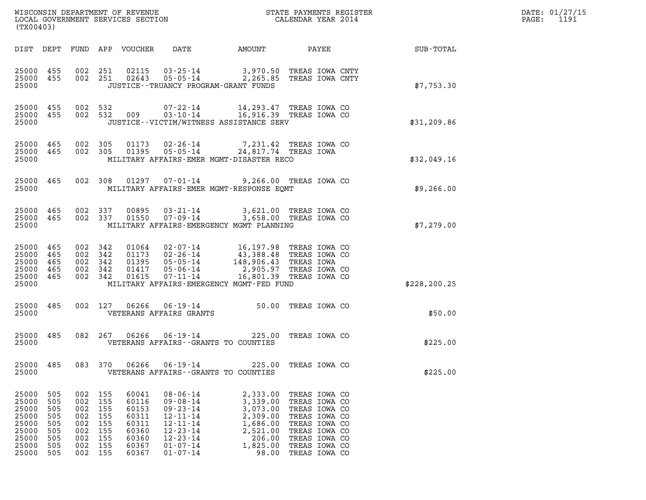| WISCONSIN DEPARTMENT OF REVENUE   | STATE PAYMENTS REGISTER | DATE: 01/27/15 |
|-----------------------------------|-------------------------|----------------|
| LOCAL GOVERNMENT SERVICES SECTION | CALENDAR YEAR 2014      | 1191<br>PAGE:  |

| WISCONSIN DEPARTMENT OF REVENUE<br>LOCAL GOVERNMENT SERVICES SECTION<br>CALENDAR YEAR 2014<br>(TX00403)                                                                                                                                                                                                                                                                                                                                                                                                                       |                                                                                                                                                                                                                                                              | $\mathbf{F} \mathbf{R}$ | DATE: 01/27/15<br>PAGE: 1191 |
|-------------------------------------------------------------------------------------------------------------------------------------------------------------------------------------------------------------------------------------------------------------------------------------------------------------------------------------------------------------------------------------------------------------------------------------------------------------------------------------------------------------------------------|--------------------------------------------------------------------------------------------------------------------------------------------------------------------------------------------------------------------------------------------------------------|-------------------------|------------------------------|
| DIST DEPT FUND APP VOUCHER DATE AMOUNT PAYEE PAYER SUB-TOTAL                                                                                                                                                                                                                                                                                                                                                                                                                                                                  |                                                                                                                                                                                                                                                              |                         |                              |
| 25000 455 002 251 02115 03-25-14 3,970.50 TREAS IOWA CNTY<br>25000 455 002 251 02643 05-05-14 2,265.85 TREAS IOWA CNTY<br>JUSTICE - - TRUANCY PROGRAM - GRANT FUNDS<br>25000                                                                                                                                                                                                                                                                                                                                                  |                                                                                                                                                                                                                                                              | \$7,753.30              |                              |
| 25000 455 002 532 009 07-22-14 14,293.47 TREAS IOWA CO<br>25000 455 002 532 009 03-10-14 16,916.39 TREAS IOWA CO<br>JUSTICE -- VICTIM/WITNESS ASSISTANCE SERV<br>25000                                                                                                                                                                                                                                                                                                                                                        |                                                                                                                                                                                                                                                              | \$31, 209.86            |                              |
| 25000 465 002 305 01173 02-26-14 7,231.42 TREAS IOWA CO<br>25000 465 002 305 01395 05-05-14 24,817.74 TREAS IOWA<br>25000     MILITARY AFFAIRS-EMER MGMT-DISASTER RECO                                                                                                                                                                                                                                                                                                                                                        |                                                                                                                                                                                                                                                              | \$32,049.16             |                              |
| 25000 465 002 308 01297 07-01-14 9,266.00 TREAS IOWA CO<br>25000 109,266.00 MILITARY AFFAIRS-EMER MGMT-RESPONSE EQMT                                                                                                                                                                                                                                                                                                                                                                                                          |                                                                                                                                                                                                                                                              |                         |                              |
| 25000 465 002 337 00895 03-21-14 3,621.00 TREAS IOWA CO<br>25000 465 002 337 01550 07-09-14 3,658.00 TREAS IOWA CO<br>25000<br>MILITARY AFFAIRS-EMERGENCY MGMT PLANNING                                                                                                                                                                                                                                                                                                                                                       |                                                                                                                                                                                                                                                              | \$7,279.00              |                              |
| 25000 465<br>002 342<br>25000 465<br>002 342<br>25000 465<br>002 342<br>002 342<br>25000 465<br>25000 465<br>002 342<br>25000<br>MILITARY AFFAIRS-EMERGENCY MGMT-FED FUND                                                                                                                                                                                                                                                                                                                                                     | 01064  02-07-14  16,197.98  TREAS  TOWA CO<br>01173  02-26-14  43,388.48  TREAS  TOWA CO<br>01395  05-05-14  148,906.43  TREAS  TOWA<br>01417  05-06-14  2,905.97  TREAS  TOWA CO<br>01615  07-11-14                                                         | \$228, 200.25           |                              |
| 002 127 06266 06-19-14 50.00 TREAS IOWA CO<br>25000 485<br>25000<br>VETERANS AFFAIRS GRANTS                                                                                                                                                                                                                                                                                                                                                                                                                                   |                                                                                                                                                                                                                                                              | \$50.00                 |                              |
| 25000 485 082 267 06266 06-19-14 225.00 TREAS IOWA CO<br>25000<br>VETERANS AFFAIRS--GRANTS TO COUNTIES                                                                                                                                                                                                                                                                                                                                                                                                                        |                                                                                                                                                                                                                                                              | \$225.00                |                              |
| 25000 485<br>083 370<br>06266<br>$06 - 19 - 14$<br>25000<br>VETERANS AFFAIRS -- GRANTS TO COUNTIES                                                                                                                                                                                                                                                                                                                                                                                                                            | 225.00<br>TREAS IOWA CO                                                                                                                                                                                                                                      | \$225.00                |                              |
| 25000<br>505<br>002<br>155<br>60041<br>$08 - 06 - 14$<br>25000<br>505<br>002<br>155<br>60116<br>$09 - 08 - 14$<br>25000<br>$09 - 23 - 14$<br>505<br>002<br>155<br>60153<br>25000<br>505<br>155<br>60311<br>$12 - 11 - 14$<br>002<br>25000<br>60311<br>$12 - 11 - 14$<br>505<br>002<br>155<br>25000<br>505<br>155<br>60360<br>$12 - 23 - 14$<br>002<br>25000<br>$12 - 23 - 14$<br>505<br>002<br>155<br>60360<br>25000<br>505<br>155<br>60367<br>$01 - 07 - 14$<br>002<br>25000<br>002<br>155<br>$01 - 07 - 14$<br>505<br>60367 | 2,333.00<br>TREAS IOWA CO<br>3,339.00<br>TREAS IOWA CO<br>3,073.00<br>TREAS IOWA CO<br>2,309.00<br>TREAS IOWA CO<br>1,686.00<br>TREAS IOWA CO<br>2,521.00<br>TREAS IOWA CO<br>206.00<br>TREAS IOWA CO<br>1,825.00<br>TREAS IOWA CO<br>98.00<br>TREAS IOWA CO |                         |                              |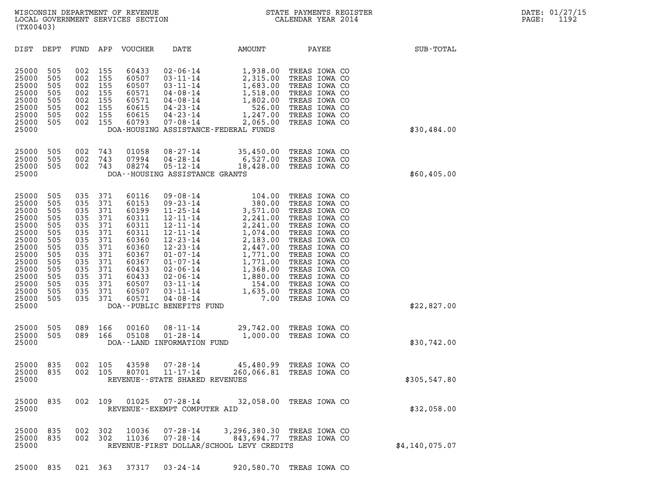| (TX00403)                                                                                                                                                                                                                                             |                                                                                                       |                                                                                                       |                                                                                                                                     |                                                                                                                                                                                                                                                                                                         |                                                                                                                                                                        |                                                                                                                                                                                                                                                             |                  |
|-------------------------------------------------------------------------------------------------------------------------------------------------------------------------------------------------------------------------------------------------------|-------------------------------------------------------------------------------------------------------|-------------------------------------------------------------------------------------------------------|-------------------------------------------------------------------------------------------------------------------------------------|---------------------------------------------------------------------------------------------------------------------------------------------------------------------------------------------------------------------------------------------------------------------------------------------------------|------------------------------------------------------------------------------------------------------------------------------------------------------------------------|-------------------------------------------------------------------------------------------------------------------------------------------------------------------------------------------------------------------------------------------------------------|------------------|
| DIST<br>DEPT                                                                                                                                                                                                                                          | FUND                                                                                                  | APP                                                                                                   | VOUCHER                                                                                                                             | DATE                                                                                                                                                                                                                                                                                                    | AMOUNT                                                                                                                                                                 | PAYEE                                                                                                                                                                                                                                                       | SUB-TOTAL        |
| 25000<br>505<br>25000<br>505<br>25000<br>505<br>25000<br>505<br>25000<br>505<br>25000<br>505<br>25000<br>505<br>25000<br>505<br>25000                                                                                                                 | 002<br>002<br>002<br>002<br>002<br>002<br>002<br>002                                                  | 155<br>155<br>155<br>155<br>155<br>155<br>155<br>155                                                  | 60433<br>60507<br>60507<br>60571<br>60571<br>60615<br>60615<br>60793                                                                | $02 - 06 - 14$<br>$03 - 11 - 14$<br>$03 - 11 - 14$<br>$04 - 08 - 14$<br>$04 - 08 - 14$<br>$04 - 23 - 14$<br>$04 - 23 - 14$<br>$07 - 08 - 14$                                                                                                                                                            | 1,938.00<br>2,315.00<br>1,683.00<br>1,518.00<br>1,802.00<br>526.00<br>1,247.00<br>2,065.00<br>DOA-HOUSING ASSISTANCE-FEDERAL FUNDS                                     | TREAS IOWA CO<br>TREAS IOWA CO<br>TREAS IOWA CO<br>TREAS IOWA CO<br>TREAS IOWA CO<br>TREAS IOWA CO<br>TREAS IOWA CO<br>TREAS IOWA CO                                                                                                                        | \$30,484.00      |
| 25000<br>505<br>25000<br>505<br>25000<br>505<br>25000                                                                                                                                                                                                 | 002<br>002<br>002                                                                                     | 743<br>743<br>743                                                                                     | 01058<br>07994<br>08274                                                                                                             | $08 - 27 - 14$<br>$04 - 28 - 14$<br>$05 - 12 - 14$<br>DOA--HOUSING ASSISTANCE GRANTS                                                                                                                                                                                                                    | 35,450.00<br>6,527.00<br>18,428.00                                                                                                                                     | TREAS IOWA CO<br>TREAS IOWA CO<br>TREAS IOWA CO                                                                                                                                                                                                             | \$60,405.00      |
| 25000<br>505<br>25000<br>505<br>25000<br>505<br>25000<br>505<br>25000<br>505<br>25000<br>505<br>25000<br>505<br>25000<br>505<br>25000<br>505<br>25000<br>505<br>25000<br>505<br>25000<br>505<br>25000<br>505<br>25000<br>505<br>25000<br>505<br>25000 | 035<br>035<br>035<br>035<br>035<br>035<br>035<br>035<br>035<br>035<br>035<br>035<br>035<br>035<br>035 | 371<br>371<br>371<br>371<br>371<br>371<br>371<br>371<br>371<br>371<br>371<br>371<br>371<br>371<br>371 | 60116<br>60153<br>60199<br>60311<br>60311<br>60311<br>60360<br>60360<br>60367<br>60367<br>60433<br>60433<br>60507<br>60507<br>60571 | $09 - 08 - 14$<br>$09 - 23 - 14$<br>$11 - 25 - 14$<br>$12 - 11 - 14$<br>$12 - 11 - 14$<br>$12 - 11 - 14$<br>$12 - 23 - 14$<br>$12 - 23 - 14$<br>$01 - 07 - 14$<br>$01 - 07 - 14$<br>$02 - 06 - 14$<br>$02 - 06 - 14$<br>$03 - 11 - 14$<br>$03 - 11 - 14$<br>$04 - 08 - 14$<br>DOA--PUBLIC BENEFITS FUND | 104.00<br>380.00<br>3,571.00<br>2,241.00<br>2,241.00<br>1,074.00<br>2,183.00<br>2,447.00<br>1,771.00<br>1,771.00<br>1,368.00<br>1,880.00<br>154.00<br>1,635.00<br>7.00 | TREAS IOWA CO<br>TREAS IOWA CO<br>TREAS IOWA CO<br>TREAS IOWA CO<br>TREAS IOWA CO<br>TREAS IOWA CO<br>TREAS IOWA CO<br>TREAS IOWA CO<br>TREAS IOWA CO<br>TREAS IOWA CO<br>TREAS IOWA CO<br>TREAS IOWA CO<br>TREAS IOWA CO<br>TREAS IOWA CO<br>TREAS IOWA CO | \$22,827.00      |
| 25000<br>505<br>25000<br>505<br>25000                                                                                                                                                                                                                 | 089<br>089                                                                                            | 166<br>166                                                                                            | 00160<br>05108                                                                                                                      | $08 - 11 - 14$<br>$01 - 28 - 14$<br>DOA--LAND INFORMATION FUND                                                                                                                                                                                                                                          | 1,000.00                                                                                                                                                               | 29,742.00 TREAS IOWA CO<br>TREAS IOWA CO                                                                                                                                                                                                                    | \$30,742.00      |
| 25000<br>835<br>25000<br>835<br>25000                                                                                                                                                                                                                 | 002<br>002                                                                                            | 105<br>105                                                                                            | 43598<br>80701                                                                                                                      | $07 - 28 - 14$<br>$11 - 17 - 14$<br>REVENUE - - STATE SHARED REVENUES                                                                                                                                                                                                                                   | 45,480.99<br>260,066.81                                                                                                                                                | TREAS IOWA CO<br>TREAS IOWA CO                                                                                                                                                                                                                              | \$305,547.80     |
| 25000<br>835<br>25000                                                                                                                                                                                                                                 | 002                                                                                                   | 109                                                                                                   | 01025                                                                                                                               | $07 - 28 - 14$<br>REVENUE - - EXEMPT COMPUTER AID                                                                                                                                                                                                                                                       |                                                                                                                                                                        | 32,058.00 TREAS IOWA CO                                                                                                                                                                                                                                     | \$32,058.00      |
| 25000<br>835<br>835<br>25000<br>25000                                                                                                                                                                                                                 | 002<br>002                                                                                            | 302<br>302                                                                                            | 10036<br>11036                                                                                                                      | $07 - 28 - 14$<br>$07 - 28 - 14$                                                                                                                                                                                                                                                                        | REVENUE-FIRST DOLLAR/SCHOOL LEVY CREDITS                                                                                                                               | 3,296,380.30 TREAS IOWA CO<br>843,694.77 TREAS IOWA CO                                                                                                                                                                                                      | \$4, 140, 075.07 |

25000 835 021 363 37317 03-24-14 920,580.70 TREAS IOWA CO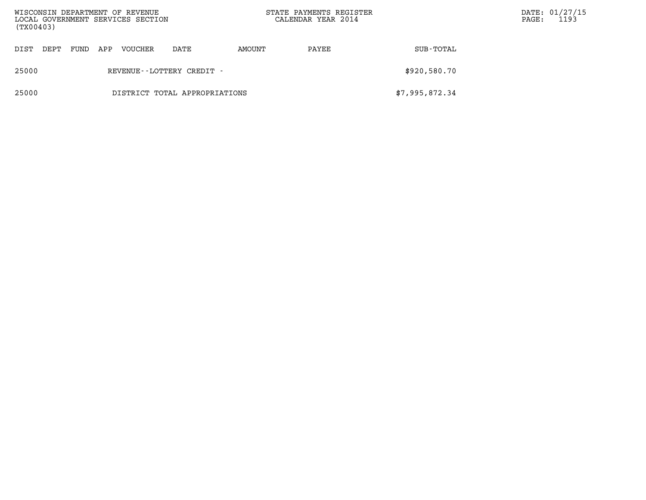| WISCONSIN DEPARTMENT OF REVENUE<br>LOCAL GOVERNMENT SERVICES SECTION<br>(TX00403) |      |      |     |         |                               |        | STATE PAYMENTS REGISTER<br>CALENDAR YEAR 2014 |                | $\mathtt{PAGE}$ : | DATE: 01/27/15<br>1193 |
|-----------------------------------------------------------------------------------|------|------|-----|---------|-------------------------------|--------|-----------------------------------------------|----------------|-------------------|------------------------|
| DIST                                                                              | DEPT | FUND | APP | VOUCHER | DATE                          | AMOUNT | PAYEE                                         | SUB-TOTAL      |                   |                        |
| 25000                                                                             |      |      |     |         | REVENUE--LOTTERY CREDIT -     |        |                                               | \$920,580.70   |                   |                        |
| 25000                                                                             |      |      |     |         | DISTRICT TOTAL APPROPRIATIONS |        |                                               | \$7,995,872.34 |                   |                        |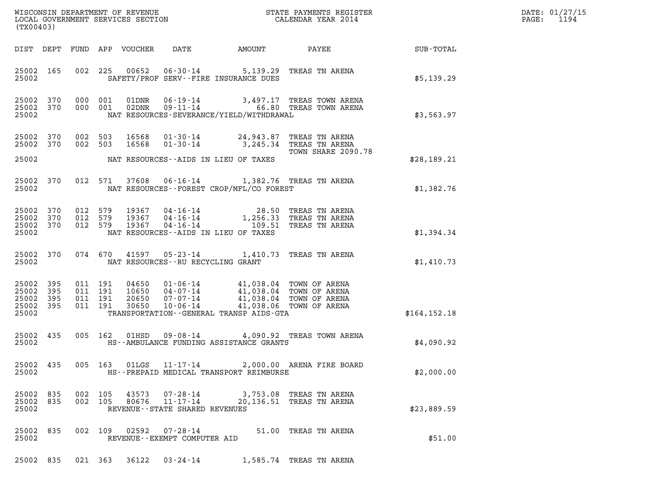| DATE: | 01/27/15 |
|-------|----------|
| PAGE: | 1194     |

| (TX00403)                                     |                   |                               |                                          |                            |                                                                 |                                                                                                                                                                       |                                                                                                                                                                                                 |               | DATE: 01/27/15<br>1194<br>$\mathtt{PAGE:}$ |
|-----------------------------------------------|-------------------|-------------------------------|------------------------------------------|----------------------------|-----------------------------------------------------------------|-----------------------------------------------------------------------------------------------------------------------------------------------------------------------|-------------------------------------------------------------------------------------------------------------------------------------------------------------------------------------------------|---------------|--------------------------------------------|
|                                               |                   |                               |                                          | DIST DEPT FUND APP VOUCHER | DATE                                                            | AMOUNT                                                                                                                                                                | <b>PAYEE</b> FOUND THE PAYEE                                                                                                                                                                    | SUB-TOTAL     |                                            |
| 25002 165<br>25002                            |                   |                               |                                          |                            |                                                                 | SAFETY/PROF SERV--FIRE INSURANCE DUES                                                                                                                                 | 002 225 00652 06-30-14 5,139.29 TREAS TN ARENA                                                                                                                                                  | \$5,139.29    |                                            |
| 25002 370<br>25002                            | 25002 370         |                               | 000 001                                  |                            |                                                                 | NAT RESOURCES-SEVERANCE/YIELD/WITHDRAWAL                                                                                                                              | $\begin{tabular}{llllll} 000 & 001 & 01 \texttt{DNR} & 06-19-14 & 3,497.17 \texttt{ TREAS TOWN AREA} \\ 000 & 001 & 02 \texttt{DNR} & 09-11-14 & 66.80 \texttt{ TREAS TOWN AREA} \end{tabular}$ | \$3,563.97    |                                            |
| 25002 370<br>25002 370<br>25002               |                   | 002 503<br>002 503            |                                          | 16568<br>16568             |                                                                 | NAT RESOURCES--AIDS IN LIEU OF TAXES                                                                                                                                  | 01-30-14 24,943.87 TREAS TN ARENA<br>01-30-14 3,245.34 TREAS TN ARENA<br>TOWN SHARE 2090.78                                                                                                     | \$28,189.21   |                                            |
| 25002                                         | 25002 370         |                               |                                          |                            |                                                                 | NAT RESOURCES--FOREST CROP/MFL/CO FOREST                                                                                                                              | 012 571 37608 06-16-14 1,382.76 TREAS TN ARENA                                                                                                                                                  | \$1,382.76    |                                            |
| 25002 370<br>25002 370<br>25002 370<br>25002  |                   | 012 579<br>012 579<br>012 579 |                                          |                            |                                                                 | NAT RESOURCES--AIDS IN LIEU OF TAXES                                                                                                                                  | 19367  04-16-14  28.50 TREAS TN ARENA<br>19367  04-16-14  1,256.33 TREAS TN ARENA<br>19367  04-16-14  109.51 TREAS TN ARENA                                                                     | \$1,394.34    |                                            |
| 25002 370<br>25002                            |                   |                               |                                          |                            | NAT RESOURCES--RU RECYCLING GRANT                               |                                                                                                                                                                       | 074 670 41597 05-23-14 1,410.73 TREAS TN ARENA                                                                                                                                                  | \$1,410.73    |                                            |
| 25002<br>25002<br>25002<br>25002 395<br>25002 | 395<br>395<br>395 |                               | 011 191<br>011 191<br>011 191<br>011 191 | 30650                      | 10-06-14                                                        | 04650 01-06-14 41,038.04 TOWN OF ARENA<br>10650 04-07-14 41,038.04 TOWN OF ARENA<br>20650 07-07-14 41,038.04 TOWN OF ARENA<br>TRANSPORTATION--GENERAL TRANSP AIDS-GTA | 41,038.06 TOWN OF ARENA                                                                                                                                                                         | \$164, 152.18 |                                            |
| 25002 435<br>25002                            |                   |                               |                                          |                            |                                                                 | HS--AMBULANCE FUNDING ASSISTANCE GRANTS                                                                                                                               | 005 162 01HSD 09-08-14 4,090.92 TREAS TOWN ARENA                                                                                                                                                | \$4,090.92    |                                            |
| 25002 435<br>25002                            |                   |                               |                                          | 005 163 01LGS              | $11 - 17 - 14$                                                  | HS--PREPAID MEDICAL TRANSPORT REIMBURSE                                                                                                                               | 2,000.00 ARENA FIRE BOARD                                                                                                                                                                       | \$2,000.00    |                                            |
| 25002 835<br>25002 835<br>25002               |                   | 002 105                       | 002 105                                  | 43573<br>80676             | 07-28-14<br>$11 - 17 - 14$<br>REVENUE - - STATE SHARED REVENUES |                                                                                                                                                                       | 3,753.08 TREAS TN ARENA<br>20,136.51 TREAS TN ARENA                                                                                                                                             | \$23,889.59   |                                            |
| 25002 835<br>25002                            |                   |                               |                                          |                            | 002 109 02592 07-28-14<br>REVENUE--EXEMPT COMPUTER AID          |                                                                                                                                                                       | 51.00 TREAS TN ARENA                                                                                                                                                                            | \$51.00       |                                            |

25002 835 021 363 36122 03-24-14 1,585.74 TREAS TN ARENA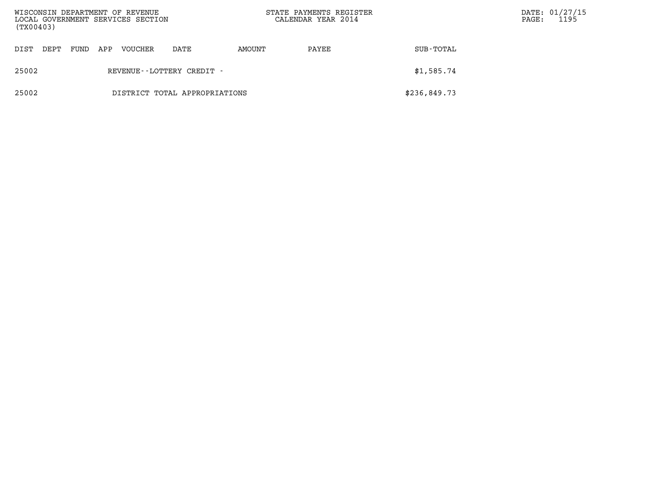| WISCONSIN DEPARTMENT OF REVENUE<br>LOCAL GOVERNMENT SERVICES SECTION<br>(TX00403) |      |      |     |                              |                               | STATE PAYMENTS REGISTER<br>CALENDAR YEAR 2014 |       |              | $\mathtt{PAGE}$ : | DATE: 01/27/15<br>1195 |
|-----------------------------------------------------------------------------------|------|------|-----|------------------------------|-------------------------------|-----------------------------------------------|-------|--------------|-------------------|------------------------|
| DIST                                                                              | DEPT | FUND | APP | <b>VOUCHER</b>               | DATE                          | AMOUNT                                        | PAYEE | SUB-TOTAL    |                   |                        |
| 25002                                                                             |      |      |     | REVENUE - - LOTTERY CREDIT - | \$1,585.74                    |                                               |       |              |                   |                        |
| 25002                                                                             |      |      |     |                              | DISTRICT TOTAL APPROPRIATIONS |                                               |       | \$236,849.73 |                   |                        |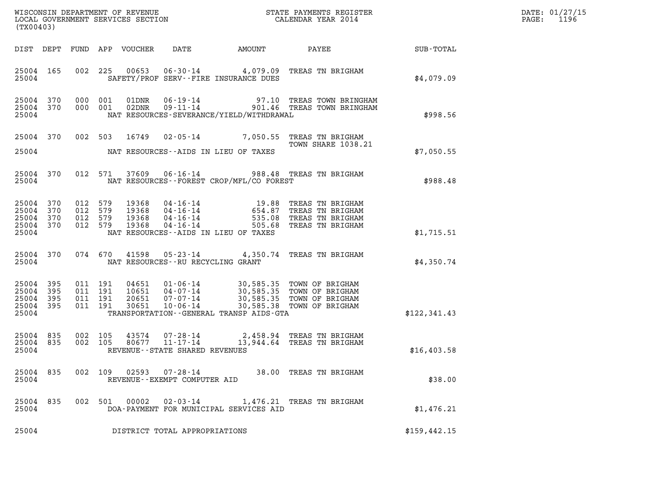| (TX00403)                                                 |           |                                                    |                            |                                          |                                             |                                                                                                                                                                                 |                 | DATE: 01/27/15<br>1196<br>$\mathtt{PAGE:}$ |
|-----------------------------------------------------------|-----------|----------------------------------------------------|----------------------------|------------------------------------------|---------------------------------------------|---------------------------------------------------------------------------------------------------------------------------------------------------------------------------------|-----------------|--------------------------------------------|
|                                                           |           |                                                    | DIST DEPT FUND APP VOUCHER | DATE                                     | AMOUNT                                      |                                                                                                                                                                                 | PAYEE SUB-TOTAL |                                            |
| 25004                                                     | 25004 165 |                                                    |                            |                                          | SAFETY/PROF SERV--FIRE INSURANCE DUES       | 002 225 00653 06-30-14 4,079.09 TREAS TN BRIGHAM                                                                                                                                | \$4,079.09      |                                            |
| 25004                                                     | 25004 370 | 25004 370 000 001<br>000 001                       |                            |                                          | NAT RESOURCES-SEVERANCE/YIELD/WITHDRAWAL    | 01DNR  06-19-14  97.10 TREAS TOWN BRINGHAM<br>02DNR  09-11-14  901.46 TREAS TOWN BRINGHAM                                                                                       | \$998.56        |                                            |
| 25004 370                                                 |           |                                                    | 002 503 16749              |                                          |                                             | 02-05-14 7,050.55 TREAS TN BRIGHAM<br><b>TOWN SHARE 1038.21</b>                                                                                                                 |                 |                                            |
|                                                           |           |                                                    |                            |                                          | 25004 NAT RESOURCES--AIDS IN LIEU OF TAXES  |                                                                                                                                                                                 | \$7,050.55      |                                            |
| 25004                                                     | 25004 370 |                                                    | 012 571 37609              |                                          | NAT RESOURCES - - FOREST CROP/MFL/CO FOREST | 06-16-14 988.48 TREAS TN BRIGHAM                                                                                                                                                | \$988.48        |                                            |
| 25004 370<br>25004 370<br>25004 370<br>25004              |           | 25004 370 012 579<br>012 579<br>012 579<br>012 579 |                            |                                          | NAT RESOURCES--AIDS IN LIEU OF TAXES        | 19368  04-16-14  19.88  TREAS TN BRIGHAM<br>19368  04-16-14  654.87  TREAS TN BRIGHAM<br>19368  04-16-14  535.08  TREAS TN BRIGHAM<br>19368  04-16-14  505.68  TREAS TN BRIGHAM | \$1,715.51      |                                            |
| 25004 370<br>25004                                        |           |                                                    |                            | NAT RESOURCES--RU RECYCLING GRANT        |                                             | 074 670 41598 05-23-14 4,350.74 TREAS TN BRIGHAM                                                                                                                                | \$4,350.74      |                                            |
| 25004 395<br>25004 395<br>25004 395<br>25004 395<br>25004 |           | 011 191<br>011 191<br>011 191<br>011 191           | 30651                      | 10-06-14                                 | TRANSPORTATION - - GENERAL TRANSP AIDS-GTA  | 04651 01-06-14 30,585.35 TOWN OF BRIGHAM<br>10651 04-07-14 30,585.35 TOWN OF BRIGHAM<br>20651 07-07-14 30,585.35 TOWN OF BRIGHAM<br>30,585.38 TOWN OF BRIGHAM                   | \$122, 341.43   |                                            |
| 25004 835<br>25004                                        | 25004 835 | 002 105<br>002 105                                 |                            | REVENUE - - STATE SHARED REVENUES        |                                             | 43574  07-28-14  2,458.94  TREAS TN BRIGHAM<br>80677  11-17-14  13,944.64  TREAS TN BRIGHAM                                                                                     | \$16,403.58     |                                            |
| 25004 835<br>25004                                        |           | 002 109                                            | 02593                      | 07-28-14<br>REVENUE--EXEMPT COMPUTER AID |                                             | 38.00 TREAS TN BRIGHAM                                                                                                                                                          | \$38.00         |                                            |
| 25004<br>25004                                            | 835       | 002 501                                            | 00002                      | $02 - 03 - 14$                           | DOA-PAYMENT FOR MUNICIPAL SERVICES AID      | 1,476.21 TREAS TN BRIGHAM                                                                                                                                                       | \$1,476.21      |                                            |
| 25004                                                     |           |                                                    |                            | DISTRICT TOTAL APPROPRIATIONS            |                                             |                                                                                                                                                                                 | \$159, 442.15   |                                            |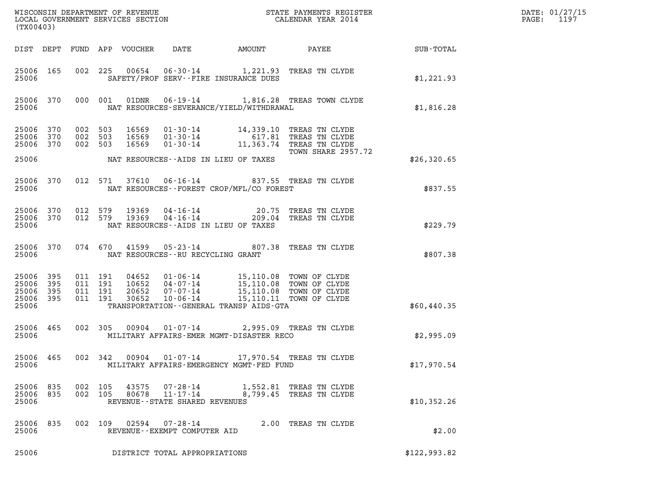| (TX00403)                                             |     |                                          |                                                                                                                                                                                                                                |              | DATE: 01/27/15<br>$\mathtt{PAGE:}$<br>1197 |
|-------------------------------------------------------|-----|------------------------------------------|--------------------------------------------------------------------------------------------------------------------------------------------------------------------------------------------------------------------------------|--------------|--------------------------------------------|
|                                                       |     |                                          | DIST DEPT FUND APP VOUCHER<br>DATE                                                                                                                                                                                             |              |                                            |
| 25006 165<br>25006                                    |     |                                          | 002 225 00654 06-30-14 1,221.93 TREAS TN CLYDE<br>SAFETY/PROF SERV--FIRE INSURANCE DUES                                                                                                                                        | \$1,221.93   |                                            |
| 25006                                                 |     |                                          | 25006 370 000 001 01DNR 06-19-14 1,816.28 TREAS TOWN CLYDE<br>NAT RESOURCES-SEVERANCE/YIELD/WITHDRAWAL                                                                                                                         | \$1,816.28   |                                            |
| 25006 370 002 503<br>25006 370<br>25006 370           |     | 002 503<br>002 503                       | 16569  01-30-14  14,339.10 TREAS TN CLYDE<br>16569  01-30-14  617.81 TREAS TN CLYDE<br>16569  01-30-14  11,363.74 TREAS TN CLYDE<br>TOWN SHARE 2957.72                                                                         |              |                                            |
| 25006                                                 |     |                                          | NAT RESOURCES--AIDS IN LIEU OF TAXES                                                                                                                                                                                           | \$26,320.65  |                                            |
| 25006 370<br>25006                                    |     |                                          | 012 571 37610 06-16-14 837.55 TREAS TN CLYDE<br>NAT RESOURCES--FOREST CROP/MFL/CO FOREST                                                                                                                                       | \$837.55     |                                            |
| 25006 370<br>25006 370<br>25006                       |     |                                          | 012 579 19369 04-16-14 20.75 TREAS TN CLYDE<br>012 579 19369 04-16-14 209.04 TREAS TN CLYDE<br>NAT RESOURCES--AIDS IN LIEU OF TAXES                                                                                            | \$229.79     |                                            |
| 25006                                                 |     |                                          | 25006 370 074 670 41599 05-23-14 807.38 TREAS TN CLYDE<br>NAT RESOURCES--RU RECYCLING GRANT                                                                                                                                    | \$807.38     |                                            |
| 25006 395<br>25006<br>25006 395<br>25006 395<br>25006 | 395 | 011 191<br>011 191<br>011 191<br>011 191 | 04652  01-06-14  15,110.08  TOWN OF CLYDE<br>10652  04-07-14  15,110.08  TOWN OF CLYDE<br>20652  07-07-14  15,110.08  TOWN OF CLYDE<br>30652  10-06-14  15,110.11  TOWN OF CLYDE<br>TRANSPORTATION - - GENERAL TRANSP AIDS-GTA | \$60,440.35  |                                            |
|                                                       |     |                                          |                                                                                                                                                                                                                                |              |                                            |
| 25006 465<br>25006                                    |     |                                          | 002 305 00904 01-07-14 2,995.09 TREAS TN CLYDE<br>MILITARY AFFAIRS-EMER MGMT-DISASTER RECO                                                                                                                                     | \$2,995.09   |                                            |
| 25006 465<br>25006                                    |     | 002 342                                  | 00904  01-07-14  17,970.54 TREAS TN CLYDE<br>MILITARY AFFAIRS-EMERGENCY MGMT-FED FUND                                                                                                                                          | \$17,970.54  |                                            |
| 25006 835<br>25006 835<br>25006                       |     | 002 105<br>002 105                       | 43575<br>07-28-14 1,552.81 TREAS TN CLYDE<br>80678<br>$11 - 17 - 14$<br>8,799.45 TREAS TN CLYDE<br>REVENUE - - STATE SHARED REVENUES                                                                                           | \$10,352.26  |                                            |
| 25006 835<br>25006                                    |     |                                          | 002 109 02594 07-28-14<br>2.00 TREAS TN CLYDE<br>REVENUE--EXEMPT COMPUTER AID                                                                                                                                                  | \$2.00       |                                            |
| 25006                                                 |     |                                          | DISTRICT TOTAL APPROPRIATIONS                                                                                                                                                                                                  | \$122,993.82 |                                            |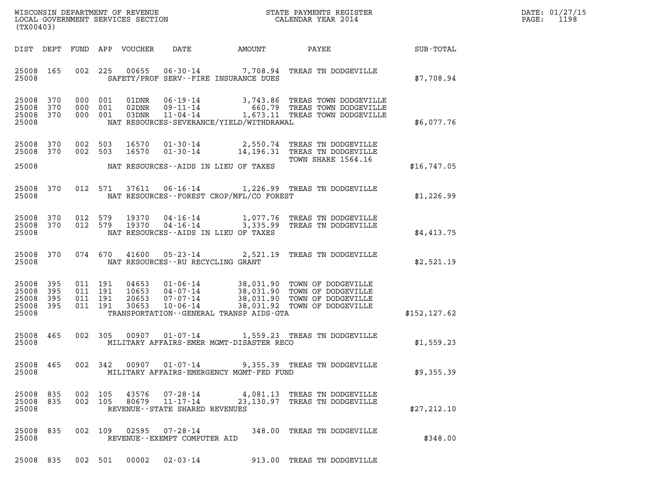| DATE: | 01/27/15 |
|-------|----------|
| PAGE: | 1198     |

| (TX00403)                                     |                   |                               |                               |                            |                                                  |                                          |                                                                                                                                                         |               | DATE: 01/27/15<br>1198<br>$\mathtt{PAGE:}$ |
|-----------------------------------------------|-------------------|-------------------------------|-------------------------------|----------------------------|--------------------------------------------------|------------------------------------------|---------------------------------------------------------------------------------------------------------------------------------------------------------|---------------|--------------------------------------------|
|                                               |                   |                               |                               | DIST DEPT FUND APP VOUCHER | DATE                                             | AMOUNT                                   | PAYEE                                                                                                                                                   | SUB-TOTAL     |                                            |
| 25008 165<br>25008                            |                   |                               |                               |                            |                                                  | SAFETY/PROF SERV--FIRE INSURANCE DUES    | 002 225 00655 06-30-14 7,708.94 TREAS TN DODGEVILLE                                                                                                     | \$7,708.94    |                                            |
| 25008 370<br>25008<br>25008 370<br>25008      | 370               |                               | 000 001<br>000 001<br>000 001 | 01DNR<br>02DNR<br>03DNR    | 11-04-14                                         | NAT RESOURCES-SEVERANCE/YIELD/WITHDRAWAL | 06-19-14 3,743.86 TREAS TOWN DODGEVILLE<br>09-11-14 660.79 TREAS TOWN DODGEVILLE<br>1,673.11 TREAS TOWN DODGEVILLE                                      | \$6,077.76    |                                            |
| 25008 370<br>25008 370                        |                   | 002 503<br>002 503            |                               | 16570<br>16570             |                                                  |                                          | 01-30-14 2,550.74 TREAS TN DODGEVILLE<br>01-30-14 14,196.31 TREAS TN DODGEVILLE                                                                         |               |                                            |
| 25008                                         |                   |                               |                               |                            |                                                  | NAT RESOURCES--AIDS IN LIEU OF TAXES     | TOWN SHARE 1564.16                                                                                                                                      | \$16,747.05   |                                            |
| 25008                                         | 25008 370         |                               | 012 571                       |                            |                                                  | NAT RESOURCES--FOREST CROP/MFL/CO FOREST | 37611  06-16-14  1,226.99  TREAS TN DODGEVILLE                                                                                                          | \$1,226.99    |                                            |
| 25008 370<br>25008                            | 25008 370 012 579 | 012 579                       |                               |                            |                                                  | NAT RESOURCES--AIDS IN LIEU OF TAXES     | 19370  04-16-14   1,077.76 TREAS TN DODGEVILLE<br>19370  04-16-14   3,335.99 TREAS TN DODGEVILLE                                                        | \$4,413.75    |                                            |
| 25008                                         | 25008 370         |                               |                               |                            |                                                  | NAT RESOURCES--RU RECYCLING GRANT        | 074 670 41600 05-23-14 2,521.19 TREAS TN DODGEVILLE                                                                                                     | \$2,521.19    |                                            |
| 25008<br>25008<br>25008<br>25008 395<br>25008 | 395<br>395<br>395 | 011 191<br>011 191<br>011 191 | 011 191                       | 04653<br>20653<br>30653    | $10653$ $04-07-14$<br>07-07-14<br>$10 - 06 - 14$ | TRANSPORTATION--GENERAL TRANSP AIDS-GTA  | 01-06-14 38,031.90 TOWN OF DODGEVILLE<br>04-07-14 38,031.90 TOWN OF DODGEVILLE<br>07-07-14 38,031.90 TOWN OF DODGEVILLE<br>38,031.92 TOWN OF DODGEVILLE | \$152, 127.62 |                                            |
| 25008 465<br>25008                            |                   |                               |                               |                            |                                                  | MILITARY AFFAIRS-EMER MGMT-DISASTER RECO | 002 305 00907 01-07-14 1,559.23 TREAS TN DODGEVILLE                                                                                                     | \$1,559.23    |                                            |
| 25008                                         | 25008 465         |                               |                               |                            |                                                  | MILITARY AFFAIRS-EMERGENCY MGMT-FED FUND | 002 342 00907 01-07-14 9,355.39 TREAS TN DODGEVILLE                                                                                                     | \$9,355.39    |                                            |
| 25008 835<br>25008 835<br>25008               |                   | 002 105                       | 002 105                       | 80679                      | 43576 07-28-14<br>REVENUE--STATE SHARED REVENUES |                                          | 4,081.13 TREAS TN DODGEVILLE<br>11-17-14 23, 130.97 TREAS TN DODGEVILLE                                                                                 | \$27,212.10   |                                            |
| 25008 835<br>25008                            |                   |                               |                               |                            | REVENUE--EXEMPT COMPUTER AID                     |                                          | 002 109 02595 07-28-14 348.00 TREAS TN DODGEVILLE                                                                                                       | \$348.00      |                                            |
| 25008 835                                     |                   |                               |                               |                            |                                                  |                                          | 002 501 00002 02-03-14 913.00 TREAS TN DODGEVILLE                                                                                                       |               |                                            |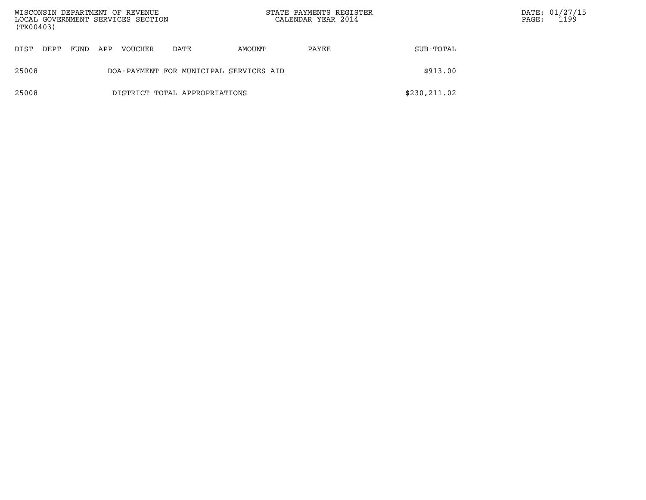| (TX00403) |      |      |     | WISCONSIN DEPARTMENT OF REVENUE<br>LOCAL GOVERNMENT SERVICES SECTION |                                        |        | STATE PAYMENTS REGISTER<br>CALENDAR YEAR 2014 |               | $\mathtt{PAGE}$ : | DATE: 01/27/15<br>1199 |
|-----------|------|------|-----|----------------------------------------------------------------------|----------------------------------------|--------|-----------------------------------------------|---------------|-------------------|------------------------|
| DIST      | DEPT | FUND | APP | <b>VOUCHER</b>                                                       | DATE                                   | AMOUNT | PAYEE                                         | SUB-TOTAL     |                   |                        |
| 25008     |      |      |     |                                                                      | DOA-PAYMENT FOR MUNICIPAL SERVICES AID |        |                                               | \$913.00      |                   |                        |
| 25008     |      |      |     |                                                                      | DISTRICT TOTAL APPROPRIATIONS          |        |                                               | \$230, 211.02 |                   |                        |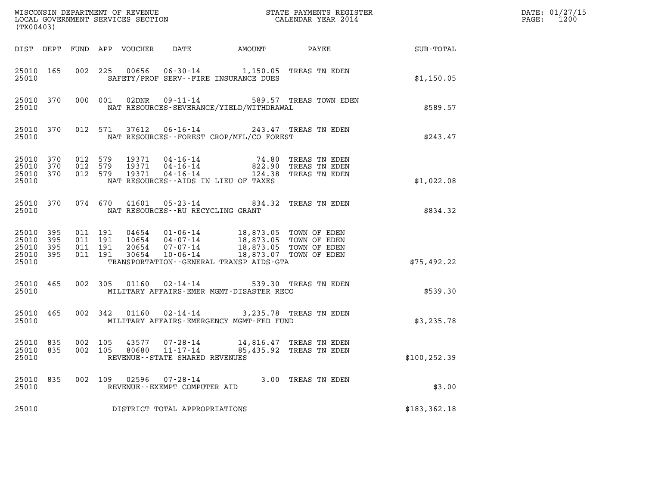| (TX00403)                                |                                |                               |                                      |                                                     |                                                                                                                                                                                                                         |                                                         |                        | DATE: 01/27/15<br>1200<br>$\mathtt{PAGE:}$ |
|------------------------------------------|--------------------------------|-------------------------------|--------------------------------------|-----------------------------------------------------|-------------------------------------------------------------------------------------------------------------------------------------------------------------------------------------------------------------------------|---------------------------------------------------------|------------------------|--------------------------------------------|
|                                          |                                |                               | DIST DEPT FUND APP VOUCHER DATE      |                                                     |                                                                                                                                                                                                                         |                                                         | AMOUNT PAYEE SUB-TOTAL |                                            |
| 25010                                    | 25010 165                      |                               |                                      |                                                     | 002 225 00656 06-30-14 1,150.05 TREAS TN EDEN<br>SAFETY/PROF SERV--FIRE INSURANCE DUES                                                                                                                                  |                                                         | \$1,150.05             |                                            |
| 25010                                    |                                |                               |                                      |                                                     | NAT RESOURCES-SEVERANCE/YIELD/WITHDRAWAL                                                                                                                                                                                | 25010 370 000 001 02DNR 09-11-14 589.57 TREAS TOWN EDEN | \$589.57               |                                            |
| 25010                                    |                                |                               |                                      |                                                     | 25010 370 012 571 37612 06-16-14 243.47 TREAS TN EDEN<br>NAT RESOURCES -- FOREST CROP/MFL/CO FOREST                                                                                                                     |                                                         | \$243.47               |                                            |
| 25010 370<br>25010                       | 25010 370 012 579<br>25010 370 | 012 579<br>012 579            | NAT RESOURCES--AIDS IN LIEU OF TAXES |                                                     | 19371   04-16-14   74.80 TREAS TN EDEN<br>19371   04-16-14   822.90 TREAS TN EDEN<br>19371   04-16-14   124.38 TREAS TN EDEN                                                                                            |                                                         | \$1,022.08             |                                            |
| 25010                                    |                                |                               |                                      | NAT RESOURCES -- RU RECYCLING GRANT                 | 25010 370 074 670 41601 05-23-14 834.32 TREAS TN EDEN                                                                                                                                                                   |                                                         | \$834.32               |                                            |
| 25010 395<br>25010<br>25010 395<br>25010 | 395<br>25010 395               | 011 191<br>011 191<br>011 191 | 011 191                              |                                                     | 04654  01-06-14  18,873.05  TOWN OF EDEN<br>10654  04-07-14  18,873.05  TOWN OF EDEN<br>20654  07-07-14  18,873.05  TOWN OF EDEN<br>30654  10-06-14  18,873.07  TOWN OF EDEN<br>TRANSPORTATION--GENERAL TRANSP AIDS-GTA |                                                         | \$75,492.22            |                                            |
| 25010                                    | 25010 465                      |                               |                                      |                                                     | 002 305 01160 02-14-14 539.30 TREAS TN EDEN<br>MILITARY AFFAIRS-EMER MGMT-DISASTER RECO                                                                                                                                 |                                                         | \$539.30               |                                            |
| 25010                                    | 25010 465                      |                               |                                      |                                                     | 002 342 01160 02-14-14 3,235.78 TREAS TN EDEN<br>MILITARY AFFAIRS-EMERGENCY MGMT-FED FUND                                                                                                                               |                                                         | \$3,235.78             |                                            |
| 25010 835<br>25010 835<br>25010          |                                | 002 105<br>002 105            |                                      | 80680 11-17-14<br>REVENUE - - STATE SHARED REVENUES | 43577  07-28-14  14,816.47  TREAS TN EDEN                                                                                                                                                                               | 85,435.92 TREAS TN EDEN                                 | \$100,252.39           |                                            |
| 25010 835<br>25010                       |                                | 002 109                       |                                      | REVENUE--EXEMPT COMPUTER AID                        |                                                                                                                                                                                                                         | 3.00 TREAS TN EDEN                                      | \$3.00                 |                                            |
| 25010                                    |                                |                               |                                      | DISTRICT TOTAL APPROPRIATIONS                       |                                                                                                                                                                                                                         |                                                         | \$183, 362.18          |                                            |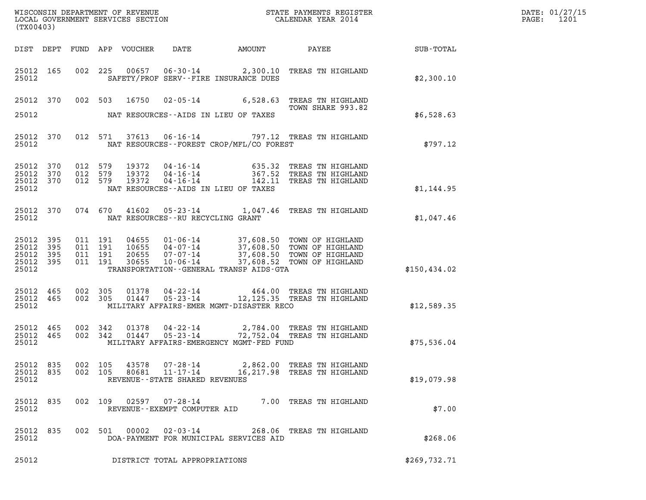| (TX00403)                                 |                          |         |                                                                   |                                     |                                            | DATE: 01/27/15<br>$\mathtt{PAGE:}$<br>1201                                                                                                               |              |  |
|-------------------------------------------|--------------------------|---------|-------------------------------------------------------------------|-------------------------------------|--------------------------------------------|----------------------------------------------------------------------------------------------------------------------------------------------------------|--------------|--|
|                                           |                          |         | DIST DEPT FUND APP VOUCHER DATE                                   |                                     | AMOUNT PAYEE                               |                                                                                                                                                          | SUB-TOTAL    |  |
| 25012 165<br>25012                        |                          |         |                                                                   |                                     | SAFETY/PROF SERV--FIRE INSURANCE DUES      | 002 225 00657 06-30-14 2,300.10 TREAS TN HIGHLAND                                                                                                        | \$2,300.10   |  |
| 25012 370                                 |                          |         |                                                                   |                                     |                                            | 002 503 16750 02-05-14 6,528.63 TREAS TN HIGHLAND<br>TOWN SHARE 993.82                                                                                   |              |  |
| 25012                                     |                          |         |                                                                   |                                     | NAT RESOURCES--AIDS IN LIEU OF TAXES       |                                                                                                                                                          | \$6,528.63   |  |
| 25012 370<br>25012                        |                          |         |                                                                   |                                     | NAT RESOURCES--FOREST CROP/MFL/CO FOREST   | 012 571 37613 06-16-14 797.12 TREAS TN HIGHLAND                                                                                                          | \$797.12     |  |
| 25012<br>25012<br>25012<br>25012          | 370<br>370<br>370        | 012 579 | 012 579<br>19372<br>012 579<br>19372<br>19372                     |                                     | NAT RESOURCES--AIDS IN LIEU OF TAXES       | 04-16-14 635.32 TREAS TN HIGHLAND<br>04-16-14 367.52 TREAS TN HIGHLAND<br>04-16-14 142.11 TREAS TN HIGHLAND                                              | \$1,144.95   |  |
| 25012 370<br>25012                        |                          |         | 074 670 41602                                                     | NAT RESOURCES -- RU RECYCLING GRANT |                                            | 05-23-14 1,047.46 TREAS TN HIGHLAND                                                                                                                      | \$1,047.46   |  |
| 25012<br>25012<br>25012<br>25012<br>25012 | 395<br>395<br>395<br>395 | 011 191 | 011 191<br>04655<br>011 191<br>10655<br>20655<br>011 191<br>30655 |                                     | TRANSPORTATION - - GENERAL TRANSP AIDS-GTA | 01-06-14 37,608.50 TOWN OF HIGHLAND<br>04-07-14 37,608.50 TOWN OF HIGHLAND<br>07-07-14 37,608.50 TOWN OF HIGHLAND<br>10-06-14 37,608.52 TOWN OF HIGHLAND | \$150,434.02 |  |
| 25012 465<br>25012<br>25012               | 465                      | 002 305 | 002 305                                                           |                                     | MILITARY AFFAIRS-EMER MGMT-DISASTER RECO   | 01378  04-22-14  464.00  TREAS TN HIGHLAND<br>01447  05-23-14  12,125.35  TREAS TN HIGHLAND                                                              | \$12,589.35  |  |
| 25012 465<br>25012 465<br>25012           |                          |         | 002 342<br>01378<br>002 342<br>01447                              | 05-23-14                            | MILITARY AFFAIRS-EMERGENCY MGMT-FED FUND   | 04-22-14 2,784.00 TREAS TN HIGHLAND<br>72,752.04 TREAS TN HIGHLAND                                                                                       | \$75,536.04  |  |
| 25012 835<br>25012 835<br>25012           |                          |         | 002 105 43578 07-28-14<br>002 105<br>80681                        | REVENUE--STATE SHARED REVENUES      |                                            | 2,862.00 TREAS TN HIGHLAND<br>11-17-14 16, 217.98 TREAS TN HIGHLAND                                                                                      | \$19,079.98  |  |
| 25012 835<br>25012                        |                          |         |                                                                   | REVENUE--EXEMPT COMPUTER AID        |                                            | 002 109 02597 07-28-14 7.00 TREAS TN HIGHLAND                                                                                                            | \$7.00       |  |
| 25012 835<br>25012                        |                          |         | 002 501 00002                                                     | $02 - 03 - 14$                      | DOA-PAYMENT FOR MUNICIPAL SERVICES AID     | 268.06 TREAS TN HIGHLAND                                                                                                                                 | \$268.06     |  |
| 25012                                     |                          |         |                                                                   | DISTRICT TOTAL APPROPRIATIONS       |                                            |                                                                                                                                                          | \$269,732.71 |  |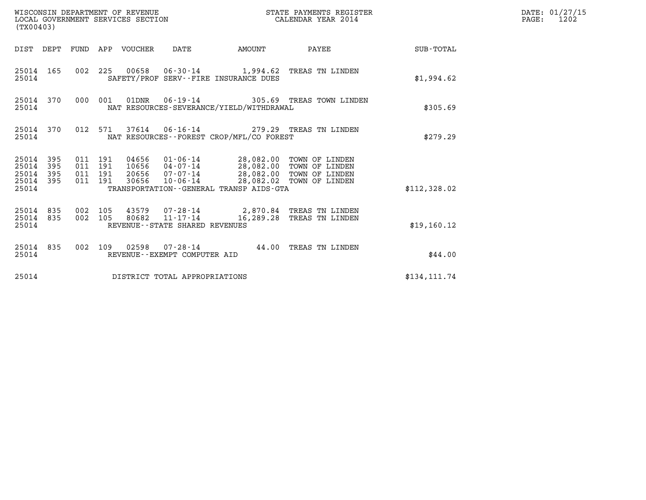| (TX00403)                            |                         |                                          | WISCONSIN DEPARTMENT OF REVENUE<br>LOCAL GOVERNMENT SERVICES SECTION |                                                  |                                                                                                                         | STATE PAYMENTS REGISTER<br>CALENDAR YEAR 2014                        |                 | DATE: 01/27/15<br>$\mathtt{PAGE:}$<br>1202 |
|--------------------------------------|-------------------------|------------------------------------------|----------------------------------------------------------------------|--------------------------------------------------|-------------------------------------------------------------------------------------------------------------------------|----------------------------------------------------------------------|-----------------|--------------------------------------------|
|                                      |                         |                                          | DIST DEPT FUND APP VOUCHER DATE                                      |                                                  | AMOUNT                                                                                                                  |                                                                      | PAYEE SUB-TOTAL |                                            |
| 25014                                | 25014 165               |                                          |                                                                      |                                                  | SAFETY/PROF SERV--FIRE INSURANCE DUES                                                                                   | 002 225 00658 06-30-14 1,994.62 TREAS TN LINDEN                      | \$1,994.62      |                                            |
| 25014                                | 25014 370               | 000 001                                  |                                                                      |                                                  | NAT RESOURCES-SEVERANCE/YIELD/WITHDRAWAL                                                                                | 01DNR  06-19-14  305.69 TREAS TOWN LINDEN                            | \$305.69        |                                            |
| 25014                                | 25014 370               |                                          |                                                                      |                                                  | NAT RESOURCES--FOREST CROP/MFL/CO FOREST                                                                                | 012 571 37614 06-16-14 279.29 TREAS TN LINDEN                        | \$279.29        |                                            |
| 25014<br>25014<br>25014 395<br>25014 | 25014 395<br>395<br>395 | 011 191<br>011 191<br>011 191<br>011 191 | 30656                                                                |                                                  | 20656 07-07-14 28,082.00 TOWN OF LINDEN<br>10-06-14 28,082.02 TOWN OF LINDEN<br>TRANSPORTATION--GENERAL TRANSP AIDS-GTA |                                                                      | \$112,328.02    |                                            |
| 25014 835<br>25014                   | 25014 835               | 002 105<br>002 105                       | 80682                                                                | $11 - 17 - 14$<br>REVENUE--STATE SHARED REVENUES |                                                                                                                         | 43579 07-28-14 2,870.84 TREAS TN LINDEN<br>16,289.28 TREAS TN LINDEN | \$19,160.12     |                                            |
| 25014                                | 25014 835               |                                          |                                                                      | REVENUE--EXEMPT COMPUTER AID                     |                                                                                                                         | 002 109 02598 07-28-14 44.00 TREAS TN LINDEN                         | \$44.00         |                                            |
| 25014                                |                         |                                          |                                                                      | DISTRICT TOTAL APPROPRIATIONS                    |                                                                                                                         |                                                                      | \$134, 111.74   |                                            |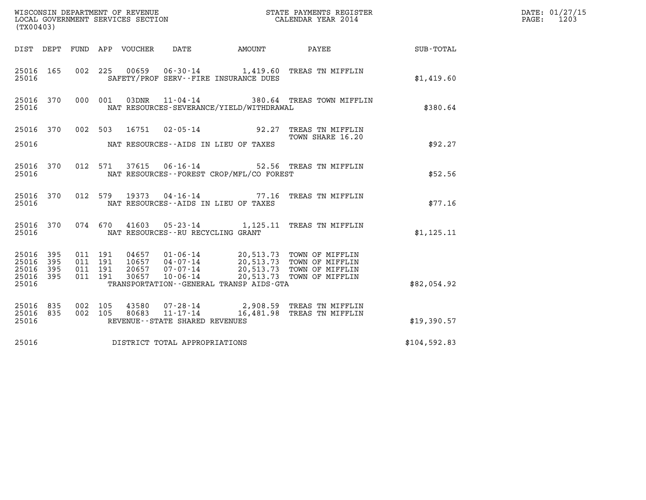| (TX00403)                                             |     |                    |                               |                            | WISCONSIN DEPARTMENT OF REVENUE<br>LOCAL GOVERNMENT SERVICES SECTION |                                            | STATE PAYMENTS REGISTER<br>CALENDAR YEAR 2014                                                                                                        |              | DATE: 01/27/15<br>PAGE:<br>1203 |
|-------------------------------------------------------|-----|--------------------|-------------------------------|----------------------------|----------------------------------------------------------------------|--------------------------------------------|------------------------------------------------------------------------------------------------------------------------------------------------------|--------------|---------------------------------|
|                                                       |     |                    |                               | DIST DEPT FUND APP VOUCHER | DATE                                                                 | AMOUNT                                     | PAYEE                                                                                                                                                | SUB-TOTAL    |                                 |
| 25016 165<br>25016                                    |     | 002 225            |                               | 00659                      |                                                                      | SAFETY/PROF SERV--FIRE INSURANCE DUES      | 06-30-14 1,419.60 TREAS TN MIFFLIN                                                                                                                   | \$1,419.60   |                                 |
| 25016 370<br>25016                                    |     |                    | 000 001                       | 03DNR                      |                                                                      | NAT RESOURCES-SEVERANCE/YIELD/WITHDRAWAL   | 11-04-14 380.64 TREAS TOWN MIFFLIN                                                                                                                   | \$380.64     |                                 |
| 25016 370<br>25016                                    |     |                    |                               |                            |                                                                      | NAT RESOURCES--AIDS IN LIEU OF TAXES       | 002 503 16751 02-05-14 92.27 TREAS TN MIFFLIN<br>TOWN SHARE 16.20                                                                                    | \$92.27      |                                 |
| 25016 370<br>25016                                    |     |                    | 012 571                       |                            |                                                                      | NAT RESOURCES -- FOREST CROP/MFL/CO FOREST | 37615  06-16-14  52.56  TREAS TN MIFFLIN                                                                                                             | \$52.56      |                                 |
| 25016 370<br>25016                                    |     |                    | 012 579                       | 19373                      |                                                                      | NAT RESOURCES -- AIDS IN LIEU OF TAXES     | 04-16-14 77.16 TREAS TN MIFFLIN                                                                                                                      | \$77.16      |                                 |
| 25016 370<br>25016                                    |     |                    | 074 670                       |                            | NAT RESOURCES - - RU RECYCLING GRANT                                 |                                            | 41603  05-23-14  1,125.11  TREAS TN MIFFLIN                                                                                                          | \$1, 125.11  |                                 |
| 25016 395<br>25016 395<br>25016<br>25016 395<br>25016 | 395 | 011 191            | 011 191<br>011 191<br>011 191 | 20657<br>30657             | $07 - 07 - 14$<br>$10 - 06 - 14$                                     | TRANSPORTATION--GENERAL TRANSP AIDS-GTA    | 04657  01-06-14  20,513.73  TOWN OF MIFFLIN<br>10657  04-07-14  20,513.73  TOWN OF MIFFLIN<br>20,513.73 TOWN OF MIFFLIN<br>20,513.73 TOWN OF MIFFLIN | \$82,054.92  |                                 |
| 25016 835<br>25016 835<br>25016                       |     | 002 105<br>002 105 |                               | 80683                      | 43580 07-28-14<br>11-17-14<br>REVENUE - - STATE SHARED REVENUES      |                                            | 2,908.59 TREAS TN MIFFLIN<br>16,481.98 TREAS TN MIFFLIN                                                                                              | \$19,390.57  |                                 |
| 25016                                                 |     |                    |                               |                            | DISTRICT TOTAL APPROPRIATIONS                                        |                                            |                                                                                                                                                      | \$104,592.83 |                                 |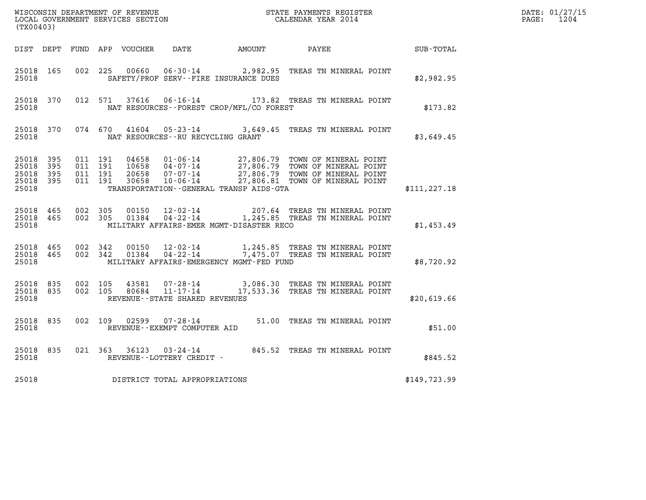| WISCONSIN DEPARTMENT OF REVENUE<br>LOCAL GOVERNMENT SERVICES SECTION<br>CALENDAR YEAR 2014<br>(TX00403) |  |                               |         |  |                                |                                              |                                                                                                                                                                                                                                |               | DATE: 01/27/15<br>PAGE: 1204 |
|---------------------------------------------------------------------------------------------------------|--|-------------------------------|---------|--|--------------------------------|----------------------------------------------|--------------------------------------------------------------------------------------------------------------------------------------------------------------------------------------------------------------------------------|---------------|------------------------------|
|                                                                                                         |  |                               |         |  |                                | DIST DEPT FUND APP VOUCHER DATE AMOUNT PAYEE |                                                                                                                                                                                                                                | SUB-TOTAL     |                              |
| 25018 165<br>25018                                                                                      |  |                               |         |  |                                | SAFETY/PROF SERV--FIRE INSURANCE DUES        | 002 225 00660 06-30-14 2,982.95 TREAS TN MINERAL POINT                                                                                                                                                                         | \$2,982.95    |                              |
| 25018                                                                                                   |  |                               |         |  |                                | NAT RESOURCES--FOREST CROP/MFL/CO FOREST     | 25018 370 012 571 37616 06-16-14 173.82 TREAS TN MINERAL POINT                                                                                                                                                                 | \$173.82      |                              |
| 25018                                                                                                   |  |                               |         |  |                                | NAT RESOURCES--RU RECYCLING GRANT            | 25018 370 074 670 41604 05-23-14 3,649.45 TREAS TN MINERAL POINT                                                                                                                                                               | \$3,649.45    |                              |
| 25018 395<br>25018 395<br>25018 395<br>25018 395<br>25018                                               |  | 011 191<br>011 191<br>011 191 | 011 191 |  |                                | TRANSPORTATION - - GENERAL TRANSP AIDS - GTA | 04658  01-06-14  27,806.79  TOWN OF MINERAL POINT<br>10658  04-07-14  27,806.79  TOWN OF MINERAL POINT<br>20658  07-07-14  27,806.79  TOWN OF MINERAL POINT<br>30658  10-06-14  27,806.81  TOWN OF MINERAL POINT               | \$111, 227.18 |                              |
| 25018                                                                                                   |  |                               |         |  |                                | MILITARY AFFAIRS-EMER MGMT-DISASTER RECO     | $\begin{array}{cccccccc} 25018& 465& 002& 305& 00150& 12\cdot 02\cdot 14& & & 207.64 & \text{TREAS TN MINERAL POINT}\\ 25018& 465& 002& 305& 01384& 04\cdot 22\cdot 14& & 1,245.85 & \text{TREAS TN MINERAL POINT}\end{array}$ | \$1,453.49    |                              |
| 25018 465<br>25018                                                                                      |  | 25018 465 002 342<br>002 342  |         |  |                                | MILITARY AFFAIRS-EMERGENCY MGMT-FED FUND     | 00150  12-02-14   1,245.85  TREAS TN MINERAL POINT<br>01384  04-22-14   7,475.07  TREAS TN MINERAL POINT                                                                                                                       | \$8,720.92    |                              |
| 25018 835<br>25018                                                                                      |  | 25018 835 002 105             |         |  | REVENUE--STATE SHARED REVENUES |                                              | 002  105  43581  07-28-14  3,086.30 TREAS TN MINERAL POINT<br>002  105  80684  11-17-14  17,533.36 TREAS TN MINERAL POINT                                                                                                      | \$20,619.66   |                              |
| 25018                                                                                                   |  |                               |         |  | REVENUE--EXEMPT COMPUTER AID   |                                              | 25018 835 002 109 02599 07-28-14 51.00 TREAS TN MINERAL POINT                                                                                                                                                                  | \$51.00       |                              |
| 25018 835<br>25018                                                                                      |  |                               |         |  | REVENUE--LOTTERY CREDIT -      |                                              | 021 363 36123 03-24-14 845.52 TREAS TN MINERAL POINT                                                                                                                                                                           | \$845.52      |                              |
| 25018                                                                                                   |  |                               |         |  | DISTRICT TOTAL APPROPRIATIONS  |                                              |                                                                                                                                                                                                                                | \$149,723.99  |                              |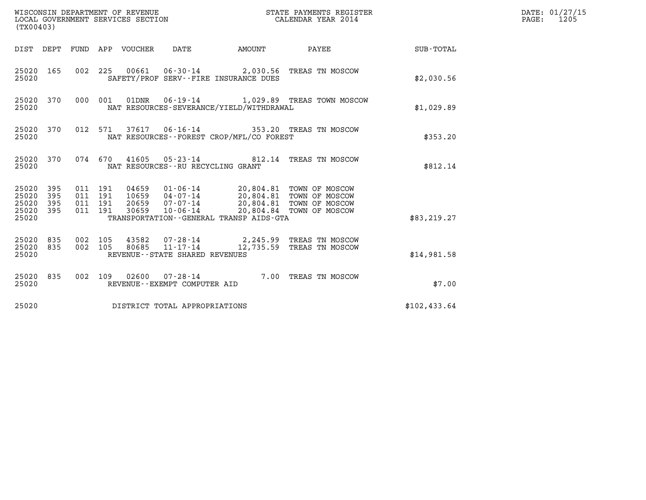| (TX00403)                                                          | WISCONSIN DEPARTMENT OF REVENUE<br>LOCAL GOVERNMENT SERVICES SECTION                                                                                              | STATE PAYMENTS REGISTER<br>CALENDAR YEAR 2014                                                                         |              | DATE: 01/27/15<br>PAGE:<br>1205 |
|--------------------------------------------------------------------|-------------------------------------------------------------------------------------------------------------------------------------------------------------------|-----------------------------------------------------------------------------------------------------------------------|--------------|---------------------------------|
|                                                                    | DIST DEPT FUND APP VOUCHER<br>DATE                                                                                                                                | <b>AMOUNT</b><br>PAYEE                                                                                                | SUB-TOTAL    |                                 |
| 25020 165<br>25020                                                 | 002 225 00661 06-30-14 2,030.56 TREAS TN MOSCOW<br>SAFETY/PROF SERV--FIRE INSURANCE DUES                                                                          |                                                                                                                       | \$2,030.56   |                                 |
| 25020 370<br>25020                                                 | 000 001<br>01DNR<br>$06 - 19 - 14$<br>NAT RESOURCES-SEVERANCE/YIELD/WITHDRAWAL                                                                                    | 1,029.89 TREAS TOWN MOSCOW                                                                                            | \$1,029.89   |                                 |
| 25020 370<br>25020                                                 | 012 571<br>NAT RESOURCES--FOREST CROP/MFL/CO FOREST                                                                                                               | 37617  06-16-14  353.20  TREAS TN MOSCOW                                                                              | \$353.20     |                                 |
| 25020 370<br>25020                                                 | 074 670<br>NAT RESOURCES - - RU RECYCLING GRANT                                                                                                                   | 41605  05-23-14  812.14  TREAS TN MOSCOW                                                                              | \$812.14     |                                 |
| 25020 395<br>25020<br>395<br>25020<br>395<br>25020<br>395<br>25020 | 011 191<br>04659<br>011 191<br>10659<br>04-07-14<br>011 191<br>20659<br>07-07-14<br>$10 - 06 - 14$<br>011 191<br>30659<br>TRANSPORTATION--GENERAL TRANSP AIDS-GTA | 01-06-14 20,804.81 TOWN OF MOSCOW<br>20,804.81 TOWN OF MOSCOW<br>20,804.81 TOWN OF MOSCOW<br>20,804.84 TOWN OF MOSCOW | \$83, 219.27 |                                 |
| 25020<br>835<br>835<br>25020<br>25020                              | 002 105<br>43582<br>07-28-14<br>002 105<br>80685<br>$11 - 17 - 14$<br>REVENUE--STATE SHARED REVENUES                                                              | 2,245.99 TREAS TN MOSCOW<br>12,735.59 TREAS TN MOSCOW                                                                 | \$14,981.58  |                                 |
| 25020 835<br>25020                                                 | 002 109 02600 07-28-14<br>REVENUE--EXEMPT COMPUTER AID                                                                                                            | 7.00 TREAS TN MOSCOW                                                                                                  | \$7.00       |                                 |
| 25020                                                              | DISTRICT TOTAL APPROPRIATIONS                                                                                                                                     |                                                                                                                       | \$102,433.64 |                                 |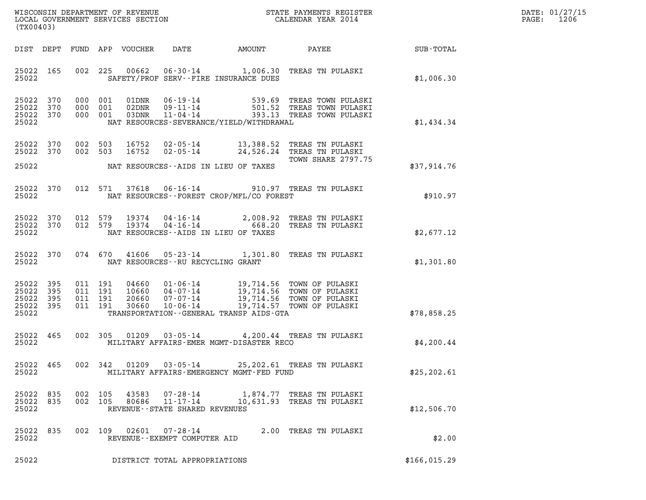| DATE: | 01/27/15 |
|-------|----------|
| PAGE: | 1206     |

| (TX00403)                                     |                   |         |                                          |                         |                                                              |                                          |                                                                                                                                                               |              | DATE: 01/27/15<br>1206<br>$\mathtt{PAGE:}$ |
|-----------------------------------------------|-------------------|---------|------------------------------------------|-------------------------|--------------------------------------------------------------|------------------------------------------|---------------------------------------------------------------------------------------------------------------------------------------------------------------|--------------|--------------------------------------------|
| DIST DEPT                                     |                   |         |                                          | FUND APP VOUCHER        | DATE                                                         | AMOUNT                                   | <b>PAYEE</b> FOR THE PAYEE                                                                                                                                    | SUB-TOTAL    |                                            |
| 25022 165<br>25022                            |                   |         |                                          |                         |                                                              | SAFETY/PROF SERV--FIRE INSURANCE DUES    | 002 225 00662 06-30-14 1,006.30 TREAS TN PULASKI                                                                                                              | \$1,006.30   |                                            |
| 25022 370<br>25022<br>25022 370<br>25022      | 370               |         | 000 001<br>000 001<br>000 001            | 01DNR<br>02DNR<br>03DNR |                                                              | NAT RESOURCES-SEVERANCE/YIELD/WITHDRAWAL | 06-19-14 539.69 TREAS TOWN PULASKI<br>09-11-14 501.52 TREAS TOWN PULASKI<br>11-04-14 393.13 TREAS TOWN PULASKI                                                | \$1,434.34   |                                            |
| 25022 370                                     | 25022 370         |         | 002 503<br>002 503                       | 16752<br>16752          |                                                              |                                          | 02-05-14 13,388.52 TREAS TN PULASKI<br>02-05-14 24,526.24 TREAS TN PULASKI<br>TOWN SHARE 2797.75                                                              |              |                                            |
| 25022                                         |                   |         |                                          |                         |                                                              | NAT RESOURCES--AIDS IN LIEU OF TAXES     |                                                                                                                                                               | \$37,914.76  |                                            |
| 25022                                         | 25022 370         |         |                                          |                         |                                                              | NAT RESOURCES--FOREST CROP/MFL/CO FOREST | 012 571 37618 06-16-14 910.97 TREAS TN PULASKI                                                                                                                | \$910.97     |                                            |
| 25022 370<br>25022                            | 25022 370         | 012 579 | 012 579                                  |                         |                                                              | NAT RESOURCES--AIDS IN LIEU OF TAXES     | 19374  04-16-14  2,008.92  TREAS TN PULASKI<br>19374  04-16-14  668.20  TREAS TN PULASKI                                                                      | \$2,677.12   |                                            |
| 25022 370<br>25022                            |                   |         |                                          |                         |                                                              | NAT RESOURCES--RU RECYCLING GRANT        | 074 670 41606 05-23-14 1,301.80 TREAS TN PULASKI                                                                                                              | \$1,301.80   |                                            |
| 25022<br>25022<br>25022<br>25022 395<br>25022 | 395<br>395<br>395 |         | 011 191<br>011 191<br>011 191<br>011 191 | 30660                   | 10-06-14                                                     | TRANSPORTATION--GENERAL TRANSP AIDS-GTA  | 04660 01-06-14 19,714.56 TOWN OF PULASKI<br>10660 04-07-14 19,714.56 TOWN OF PULASKI<br>20660 07-07-14 19,714.56 TOWN OF PULASKI<br>19,714.57 TOWN OF PULASKI | \$78,858.25  |                                            |
| 25022 465<br>25022                            |                   |         |                                          |                         |                                                              | MILITARY AFFAIRS-EMER MGMT-DISASTER RECO | 002 305 01209 03-05-14 4,200.44 TREAS TN PULASKI                                                                                                              | \$4,200.44   |                                            |
| 25022 465<br>25022                            |                   |         |                                          | 002 342 01209           | 03-05-14                                                     | MILITARY AFFAIRS-EMERGENCY MGMT-FED FUND | 25,202.61 TREAS TN PULASKI                                                                                                                                    | \$25, 202.61 |                                            |
| 25022 835<br>25022 835<br>25022               |                   |         | 002 105<br>002 105                       | 43583<br>80686          | 07-28-14<br>$11 - 17 - 14$<br>REVENUE--STATE SHARED REVENUES |                                          | 1,874.77 TREAS TN PULASKI<br>10,631.93 TREAS TN PULASKI                                                                                                       | \$12,506.70  |                                            |
| 25022 835<br>25022                            |                   |         | 002 109                                  |                         | 02601  07-28-14<br>REVENUE - - EXEMPT COMPUTER AID           |                                          | 2.00 TREAS TN PULASKI                                                                                                                                         | \$2.00       |                                            |
| 25022                                         |                   |         |                                          |                         | DISTRICT TOTAL APPROPRIATIONS                                |                                          |                                                                                                                                                               | \$166,015.29 |                                            |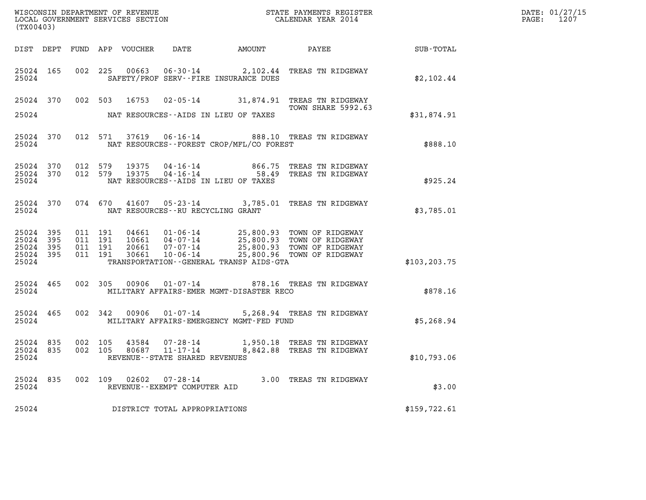| (TX00403)                                     |                   |  | WISCONSIN DEPARTMENT OF REVENUE<br>LOCAL GOVERNMENT SERVICES SECTION | STATE PAYMENTS REGISTER<br>CALENDAR YEAR 2014                                                                                                                                                                                                                                                                                                      |                  | DATE: 01/27/15<br>PAGE: 1207 |
|-----------------------------------------------|-------------------|--|----------------------------------------------------------------------|----------------------------------------------------------------------------------------------------------------------------------------------------------------------------------------------------------------------------------------------------------------------------------------------------------------------------------------------------|------------------|------------------------------|
|                                               |                   |  |                                                                      |                                                                                                                                                                                                                                                                                                                                                    | <b>SUB-TOTAL</b> |                              |
| 25024                                         |                   |  | SAFETY/PROF SERV--FIRE INSURANCE DUES                                | 25024 165 002 225 00663 06-30-14 2,102.44 TREAS TN RIDGEWAY                                                                                                                                                                                                                                                                                        | \$2,102.44       |                              |
| 25024                                         |                   |  | NAT RESOURCES--AIDS IN LIEU OF TAXES                                 | 25024 370 002 503 16753 02-05-14 31,874.91 TREAS TN RIDGEWAY<br><b>TOWN SHARE 5992.63</b>                                                                                                                                                                                                                                                          | \$31,874.91      |                              |
| 25024                                         |                   |  | NAT RESOURCES--FOREST CROP/MFL/CO FOREST                             | 25024 370 012 571 37619 06-16-14 888.10 TREAS TN RIDGEWAY                                                                                                                                                                                                                                                                                          | \$888.10         |                              |
| 25024 370<br>25024 370<br>25024               |                   |  | NAT RESOURCES--AIDS IN LIEU OF TAXES                                 |                                                                                                                                                                                                                                                                                                                                                    | \$925.24         |                              |
| 25024                                         |                   |  | NAT RESOURCES--RU RECYCLING GRANT                                    | 25024 370 074 670 41607 05-23-14 3,785.01 TREAS TN RIDGEWAY                                                                                                                                                                                                                                                                                        | \$3,785.01       |                              |
| 25024 395<br>25024<br>25024<br>25024<br>25024 | 395<br>395<br>395 |  | TRANSPORTATION--GENERAL TRANSP AIDS-GTA                              | $\begin{array}{cccccc} 011 & 191 & 04661 & 01\text{-}06\text{-}14 & 25,800.93 & \text{TOWN OF RIDGEWAY} \\ 011 & 191 & 10661 & 04\text{-}07\text{-}14 & 25,800.93 & \text{TOWN OF RIDGEWAY} \\ 011 & 191 & 20661 & 07\text{-}07\text{-}14 & 25,800.93 & \text{TOWN OF RIDGEWAY} \\ 011 & 191 & 30661 & 10\text{-}06\text{-}14 & 25,800.96 & \text$ | \$103, 203.75    |                              |
| 25024                                         | 25024 465         |  | MILITARY AFFAIRS-EMER MGMT-DISASTER RECO                             | 002 305 00906 01-07-14 878.16 TREAS TN RIDGEWAY                                                                                                                                                                                                                                                                                                    | \$878.16         |                              |
| 25024                                         |                   |  | MILITARY AFFAIRS-EMERGENCY MGMT-FED FUND                             | 25024 465 002 342 00906 01-07-14 5,268.94 TREAS TN RIDGEWAY                                                                                                                                                                                                                                                                                        | \$5,268.94       |                              |
| 25024 835<br>25024 835<br>25024               |                   |  | 002 105 80687 11-17-14<br>REVENUE--STATE SHARED REVENUES             | 002 105 43584 07-28-14 1,950.18 TREAS TN RIDGEWAY<br>8,842.88 TREAS TN RIDGEWAY                                                                                                                                                                                                                                                                    | \$10,793.06      |                              |
| 25024 835<br>25024                            |                   |  | 002 109 02602 07-28-14<br>REVENUE--EXEMPT COMPUTER AID               | 3.00 TREAS TN RIDGEWAY                                                                                                                                                                                                                                                                                                                             | \$3.00           |                              |
| 25024                                         |                   |  | DISTRICT TOTAL APPROPRIATIONS                                        |                                                                                                                                                                                                                                                                                                                                                    | \$159,722.61     |                              |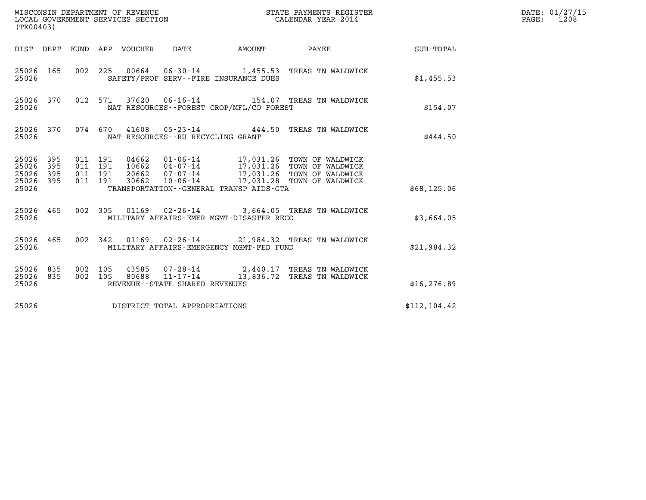| (TX00403)                                         |            |                               |         |                                 | WISCONSIN DEPARTMENT OF REVENUE<br>LOCAL GOVERNMENT SERVICES SECTION |        | STATE PAYMENTS REGISTER<br>CALENDAR YEAR 2014                                                                                                                                             |               | DATE: 01/27/15<br>$\mathtt{PAGE:}$<br>1208 |
|---------------------------------------------------|------------|-------------------------------|---------|---------------------------------|----------------------------------------------------------------------|--------|-------------------------------------------------------------------------------------------------------------------------------------------------------------------------------------------|---------------|--------------------------------------------|
|                                                   |            |                               |         | DIST DEPT FUND APP VOUCHER DATE |                                                                      | AMOUNT | <b>PAYEE</b>                                                                                                                                                                              | SUB-TOTAL     |                                            |
| 25026 165<br>25026                                |            |                               |         |                                 | SAFETY/PROF SERV--FIRE INSURANCE DUES                                |        | 002 225 00664 06-30-14 1,455.53 TREAS TN WALDWICK                                                                                                                                         | \$1,455.53    |                                            |
| 25026 370<br>25026                                |            |                               |         |                                 | NAT RESOURCES--FOREST CROP/MFL/CO FOREST                             |        | 012 571 37620 06-16-14 154.07 TREAS TN WALDWICK                                                                                                                                           | \$154.07      |                                            |
| 25026 370<br>25026                                |            |                               |         |                                 | NAT RESOURCES--RU RECYCLING GRANT                                    |        | 074 670 41608 05-23-14 444.50 TREAS TN WALDWICK                                                                                                                                           | \$444.50      |                                            |
| 25026 395<br>25026<br>25026<br>25026 395<br>25026 | 395<br>395 | 011 191<br>011 191<br>011 191 | 011 191 |                                 | TRANSPORTATION--GENERAL TRANSP AIDS-GTA                              |        | 04662  01-06-14  17,031.26  TOWN OF WALDWICK<br>10662  04-07-14  17,031.26  TOWN OF WALDWICK<br>20662  07-07-14  17,031.26  TOWN OF WALDWICK<br>30662 10-06-14 17,031.28 TOWN OF WALDWICK | \$68,125.06   |                                            |
| 25026 465<br>25026                                |            |                               |         |                                 | MILITARY AFFAIRS-EMER MGMT-DISASTER RECO                             |        | 002 305 01169 02-26-14 3,664.05 TREAS TN WALDWICK                                                                                                                                         | \$3,664.05    |                                            |
| 25026 465<br>25026                                |            |                               | 002 342 |                                 | MILITARY AFFAIRS-EMERGENCY MGMT-FED FUND                             |        | 01169  02-26-14  21,984.32  TREAS TN WALDWICK                                                                                                                                             | \$21,984.32   |                                            |
| 25026 835<br>25026 835<br>25026                   |            | 002 105                       | 002 105 |                                 | REVENUE--STATE SHARED REVENUES                                       |        | 43585 07-28-14 2,440.17 TREAS TN WALDWICK<br>80688  11-17-14  13,836.72  TREAS TN WALDWICK                                                                                                | \$16, 276.89  |                                            |
| 25026                                             |            |                               |         |                                 | DISTRICT TOTAL APPROPRIATIONS                                        |        |                                                                                                                                                                                           | \$112, 104.42 |                                            |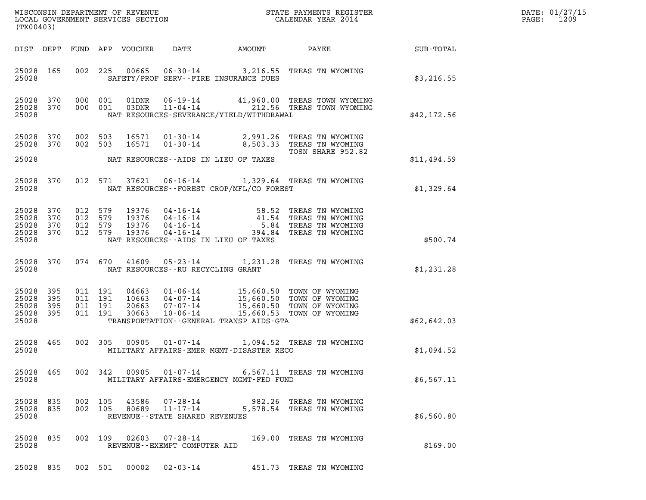| DATE: | 01/27/15 |
|-------|----------|
| PAGE: | 1209     |

|                                                   |            |                                          |                                  |                                                    |                                                                                                             |                                                                                                                  |             | DATE: 01/27/15<br>1209<br>$\mathtt{PAGE}$ : |
|---------------------------------------------------|------------|------------------------------------------|----------------------------------|----------------------------------------------------|-------------------------------------------------------------------------------------------------------------|------------------------------------------------------------------------------------------------------------------|-------------|---------------------------------------------|
| (TX00403)                                         |            |                                          |                                  |                                                    |                                                                                                             |                                                                                                                  |             |                                             |
|                                                   |            |                                          | DIST DEPT FUND APP VOUCHER       | DATE                                               | AMOUNT                                                                                                      | PAYEE                                                                                                            | SUB-TOTAL   |                                             |
| 25028 165<br>25028                                |            | 002 225                                  |                                  |                                                    | SAFETY/PROF SERV--FIRE INSURANCE DUES                                                                       | 00665  06-30-14  3,216.55  TREAS TN WYOMING                                                                      | \$3,216.55  |                                             |
| 25028 370<br>25028 370<br>25028                   |            | 000 001<br>000 001                       | 01DNR                            |                                                    | NAT RESOURCES-SEVERANCE/YIELD/WITHDRAWAL                                                                    | 01DNR  06-19-14  41,960.00 TREAS TOWN WYOMING<br>03DNR  11-04-14  212.56 TREAS TOWN WYOMING                      | \$42,172.56 |                                             |
| 25028 370<br>25028 370                            |            | 002 503<br>002 503                       | 16571<br>16571                   | 01-30-14<br>$01 - 30 - 14$                         | 2,991.26                                                                                                    | TREAS TN WYOMING<br>8,503.33 TREAS TN WYOMING<br>TOSN SHARE 952.82                                               |             |                                             |
| 25028                                             |            |                                          |                                  |                                                    | NAT RESOURCES--AIDS IN LIEU OF TAXES                                                                        |                                                                                                                  | \$11,494.59 |                                             |
| 25028 370<br>25028                                |            | 012 571                                  |                                  |                                                    | NAT RESOURCES - - FOREST CROP/MFL/CO FOREST                                                                 | 37621  06-16-14  1,329.64  TREAS TN WYOMING                                                                      | \$1,329.64  |                                             |
| 25028 370<br>25028<br>25028<br>25028 370<br>25028 | 370<br>370 | 012 579<br>012 579<br>012 579<br>012 579 | 19376<br>19376<br>19376<br>19376 | 04-16-14                                           | 04 - 16 - 14<br>04 - 16 - 14<br>04 - 16 - 14<br>05 - 84<br>394.84<br>NAT RESOURCES -- AIDS IN LIEU OF TAXES | TREAS TN WYOMING<br>41.54 TREAS TN WYOMING<br>5.84 TREAS TN WYOMING<br>TREAS TN WYOMING                          | \$500.74    |                                             |
| 25028 370<br>25028                                |            |                                          |                                  |                                                    | NAT RESOURCES -- RU RECYCLING GRANT                                                                         | 074 670 41609 05-23-14 1,231.28 TREAS TN WYOMING                                                                 | \$1,231.28  |                                             |
| 25028 395<br>25028<br>25028<br>25028 395<br>25028 | 395<br>395 | 011 191<br>011 191<br>011 191<br>011 191 | 04663<br>10663<br>20663<br>30663 | $01 - 06 - 14$<br>04-07-14<br>07-07-14<br>10-06-14 | TRANSPORTATION--GENERAL TRANSP AIDS-GTA                                                                     | 15,660.50 TOWN OF WYOMING<br>15,660.50 TOWN OF WYOMING<br>15,660.50 TOWN OF WYOMING<br>15,660.53 TOWN OF WYOMING | \$62,642.03 |                                             |
|                                                   |            |                                          |                                  |                                                    |                                                                                                             |                                                                                                                  |             |                                             |
| 25028 465<br>25028                                |            | 002 305                                  | 00905                            | $01 - 07 - 14$                                     | MILITARY AFFAIRS-EMER MGMT-DISASTER RECO                                                                    | 1,094.52 TREAS TN WYOMING                                                                                        | \$1,094.52  |                                             |
| 25028                                             |            |                                          |                                  |                                                    | MILITARY AFFAIRS-EMERGENCY MGMT-FED FUND                                                                    | 25028 465 002 342 00905 01-07-14 6,567.11 TREAS TN WYOMING                                                       | \$6,567.11  |                                             |
| 25028 835<br>25028 835<br>25028                   |            | 002 105<br>002 105                       |                                  | REVENUE--STATE SHARED REVENUES                     |                                                                                                             | 43586  07-28-14  982.26 TREAS TN WYOMING<br>80689  11-17-14  5,578.54 TREAS TN WYOMING                           | \$6,560.80  |                                             |
| 25028                                             |            |                                          |                                  | REVENUE--EXEMPT COMPUTER AID                       |                                                                                                             | 25028 835 002 109 02603 07-28-14 169.00 TREAS TN WYOMING                                                         | \$169.00    |                                             |
|                                                   |            |                                          |                                  |                                                    |                                                                                                             | 25028 835 002 501 00002 02-03-14 451.73 TREAS TN WYOMING                                                         |             |                                             |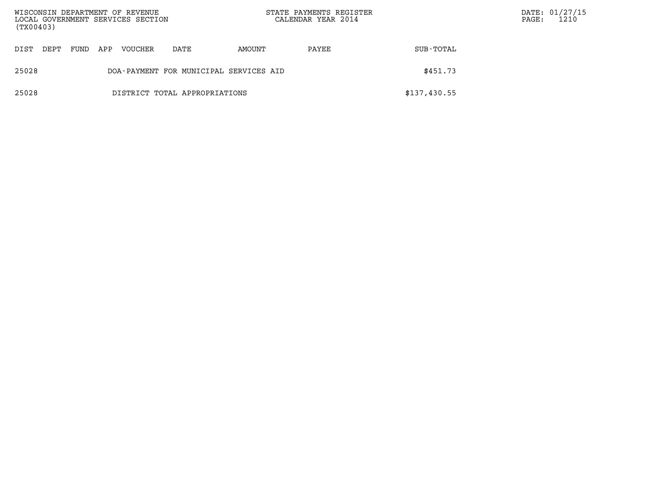| (TX00403) |      |      |     | WISCONSIN DEPARTMENT OF REVENUE<br>LOCAL GOVERNMENT SERVICES SECTION |                                        |        | STATE PAYMENTS REGISTER<br>CALENDAR YEAR 2014 |              | $\mathtt{PAGE}$ : | DATE: 01/27/15<br>1210 |
|-----------|------|------|-----|----------------------------------------------------------------------|----------------------------------------|--------|-----------------------------------------------|--------------|-------------------|------------------------|
| DIST      | DEPT | FUND | APP | <b>VOUCHER</b>                                                       | DATE                                   | AMOUNT | PAYEE                                         | SUB-TOTAL    |                   |                        |
| 25028     |      |      |     |                                                                      | DOA-PAYMENT FOR MUNICIPAL SERVICES AID |        |                                               | \$451.73     |                   |                        |
| 25028     |      |      |     |                                                                      | DISTRICT TOTAL APPROPRIATIONS          |        |                                               | \$137,430.55 |                   |                        |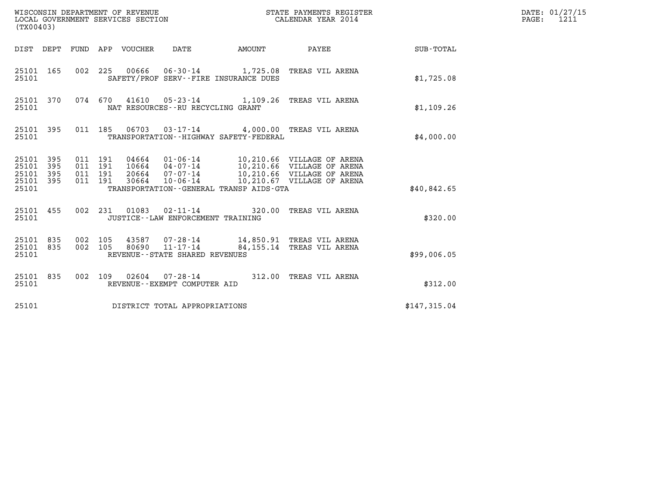| (TX00403)                                         |            |                                          | WISCONSIN DEPARTMENT OF REVENUE<br>LOCAL GOVERNMENT SERVICES SECTION | $\mathbf N$                                            |                                             | STATE PAYMENTS REGISTER<br>CALENDAR YEAR 2014                                                                                                                           |              | DATE: 01/27/15<br>$\mathtt{PAGE:}$<br>1211 |
|---------------------------------------------------|------------|------------------------------------------|----------------------------------------------------------------------|--------------------------------------------------------|---------------------------------------------|-------------------------------------------------------------------------------------------------------------------------------------------------------------------------|--------------|--------------------------------------------|
|                                                   |            |                                          | DIST DEPT FUND APP VOUCHER                                           | DATE                                                   | <b>AMOUNT</b>                               | PAYEE                                                                                                                                                                   | SUB-TOTAL    |                                            |
| 25101 165<br>25101                                |            |                                          |                                                                      |                                                        | SAFETY/PROF SERV--FIRE INSURANCE DUES       | 002 225 00666 06-30-14 1,725.08 TREAS VIL ARENA                                                                                                                         | \$1,725.08   |                                            |
| 25101 370<br>25101                                |            |                                          |                                                                      | NAT RESOURCES - - RU RECYCLING GRANT                   |                                             | 074 670 41610 05-23-14 1,109.26 TREAS VIL ARENA                                                                                                                         | \$1,109.26   |                                            |
| 25101 395<br>25101                                |            |                                          |                                                                      |                                                        | TRANSPORTATION - - HIGHWAY SAFETY - FEDERAL | 011 185  06703  03-17-14  4,000.00 TREAS VIL ARENA                                                                                                                      | \$4,000.00   |                                            |
| 25101 395<br>25101<br>25101<br>25101 395<br>25101 | 395<br>395 | 011 191<br>011 191<br>011 191<br>011 191 |                                                                      | 20664 07-07-14                                         | TRANSPORTATION--GENERAL TRANSP AIDS-GTA     | 04664  01-06-14  10,210.66  VILLAGE OF ARENA<br>10664  04-07-14  10,210.66  VILLAGE OF ARENA<br>10,210.66 VILLAGE OF ARENA<br>30664 10-06-14 10,210.67 VILLAGE OF ARENA | \$40,842.65  |                                            |
| 25101 455<br>25101                                |            |                                          | 002 231 01083                                                        | JUSTICE - - LAW ENFORCEMENT TRAINING                   |                                             | 02-11-14 320.00 TREAS VIL ARENA                                                                                                                                         | \$320.00     |                                            |
| 25101 835<br>25101 835<br>25101                   |            | 002 105<br>002 105                       | 43587<br>80690                                                       | $11 - 17 - 14$<br>REVENUE - - STATE SHARED REVENUES    |                                             | 07-28-14 14,850.91 TREAS VIL ARENA<br>84,155.14 TREAS VIL ARENA                                                                                                         | \$99,006.05  |                                            |
| 25101 835<br>25101                                |            |                                          |                                                                      | 002 109 02604 07-28-14<br>REVENUE--EXEMPT COMPUTER AID |                                             | 312.00 TREAS VIL ARENA                                                                                                                                                  | \$312.00     |                                            |
| 25101                                             |            |                                          |                                                                      | DISTRICT TOTAL APPROPRIATIONS                          |                                             |                                                                                                                                                                         | \$147,315.04 |                                            |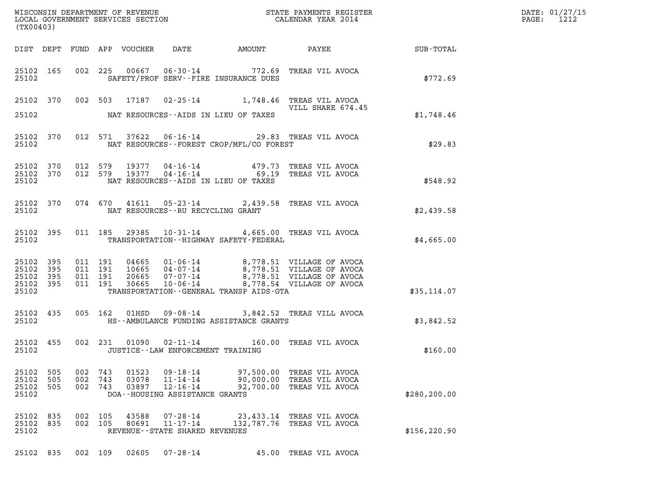| DATE: | 01/27/15 |
|-------|----------|
| PAGE: | 1212     |

| (TX00403)                                |                   |                       |                                          |                         |                                                                                |                                                |                                                                                                                                                                                                                                                                     | WISCONSIN DEPARTMENT OF REVENUE<br>LOCAL GOVERNMENT SERVICES SECTION<br>CALENDAR YEAR 2014 | DATE: 01/27/15<br>PAGE: 1212 |
|------------------------------------------|-------------------|-----------------------|------------------------------------------|-------------------------|--------------------------------------------------------------------------------|------------------------------------------------|---------------------------------------------------------------------------------------------------------------------------------------------------------------------------------------------------------------------------------------------------------------------|--------------------------------------------------------------------------------------------|------------------------------|
|                                          |                   |                       |                                          |                         |                                                                                |                                                | DIST DEPT FUND APP VOUCHER DATE AMOUNT PAYEE SUB-TOTAL                                                                                                                                                                                                              |                                                                                            |                              |
|                                          | 25102             |                       |                                          |                         |                                                                                | SAFETY/PROF SERV--FIRE INSURANCE DUES          | 25102 165 002 225 00667 06-30-14 772.69 TREAS VIL AVOCA                                                                                                                                                                                                             | \$772.69                                                                                   |                              |
| 25102                                    |                   |                       |                                          |                         |                                                                                | NAT RESOURCES--AIDS IN LIEU OF TAXES           | 25102 370 002 503 17187 02-25-14 1,748.46 TREAS VIL AVOCA<br>VILL SHARE 674.45<br>VILL SHARE 674.45                                                                                                                                                                 | \$1,748.46                                                                                 |                              |
|                                          |                   |                       |                                          |                         |                                                                                | 25102 NAT RESOURCES--FOREST CROP/MFL/CO FOREST | 25102 370 012 571 37622 06-16-14 29.83 TREAS VIL AVOCA                                                                                                                                                                                                              | \$29.83                                                                                    |                              |
| 25102                                    |                   |                       |                                          |                         |                                                                                | NAT RESOURCES--AIDS IN LIEU OF TAXES           | $\begin{array}{cccc} 25102 & 370 & 012 & 579 & 19377 & 04\texttt{-}16\texttt{-}14 & & & 479.73 & \texttt{TREAS} & \texttt{VIL AVOCA} \\ 25102 & 370 & 012 & 579 & 19377 & 04\texttt{-}16\texttt{-}14 & & & 69.19 & \texttt{TREAS} & \texttt{VIL AVOCA} \end{array}$ | \$548.92                                                                                   |                              |
|                                          |                   |                       |                                          |                         |                                                                                | 25102 NAT RESOURCES--RU RECYCLING GRANT        | 25102 370 074 670 41611 05-23-14 2,439.58 TREAS VIL AVOCA                                                                                                                                                                                                           | \$2,439.58                                                                                 |                              |
|                                          |                   | 25102                 |                                          |                         |                                                                                | TRANSPORTATION--HIGHWAY SAFETY-FEDERAL         | 25102 395 011 185 29385 10-31-14 4,665.00 TREAS VIL AVOCA                                                                                                                                                                                                           | \$4,665.00                                                                                 |                              |
| 25102 395<br>25102<br>25102 395<br>25102 | 395<br>25102 395  |                       | 011 191<br>011 191<br>011 191<br>011 191 |                         |                                                                                | TRANSPORTATION--GENERAL TRANSP AIDS-GTA        | 04665  01-06-14  8,778.51  VILLAGE OF AVOCA<br>10665  04-07-14  8,778.51  VILLAGE OF AVOCA<br>20665  07-07-14  8,778.51  VILLAGE OF AVOCA<br>30665  10-06-14  8,778.54  VILLAGE OF AVOCA                                                                            | \$35,114.07                                                                                |                              |
|                                          |                   |                       |                                          |                         |                                                                                | 25102 HS--AMBULANCE FUNDING ASSISTANCE GRANTS  | 25102 435 005 162 01HSD 09-08-14 3,842.52 TREAS VILL AVOCA                                                                                                                                                                                                          | \$3,842.52                                                                                 |                              |
|                                          |                   | 25102                 |                                          |                         |                                                                                | JUSTICE - - LAW ENFORCEMENT TRAINING           | 25102 455 002 231 01090 02-11-14 160.00 TREAS VIL AVOCA                                                                                                                                                                                                             | \$160.00                                                                                   |                              |
| 25102<br>25102<br>25102<br>25102         | 505<br>505<br>505 | 002<br>002<br>002 743 | 743<br>743                               | 01523<br>03078<br>03897 | 09-18-14<br>$11 - 14 - 14$<br>$12 - 16 - 14$<br>DOA--HOUSING ASSISTANCE GRANTS | 97,500.00<br>90,000.00<br>92,700.00            | TREAS VIL AVOCA<br>TREAS VIL AVOCA<br>TREAS VIL AVOCA                                                                                                                                                                                                               | \$280, 200.00                                                                              |                              |
| 25102<br>25102<br>25102                  | 835<br>835        | 002<br>002            | 105<br>105                               | 43588<br>80691          | $07 - 28 - 14$<br>$11 - 17 - 14$<br>REVENUE - - STATE SHARED REVENUES          | 23,433.14<br>132,787.76                        | TREAS VIL AVOCA<br>TREAS VIL AVOCA                                                                                                                                                                                                                                  | \$156, 220.90                                                                              |                              |
| 25102 835                                |                   | 002 109               |                                          | 02605                   | $07 - 28 - 14$                                                                 |                                                | 45.00 TREAS VIL AVOCA                                                                                                                                                                                                                                               |                                                                                            |                              |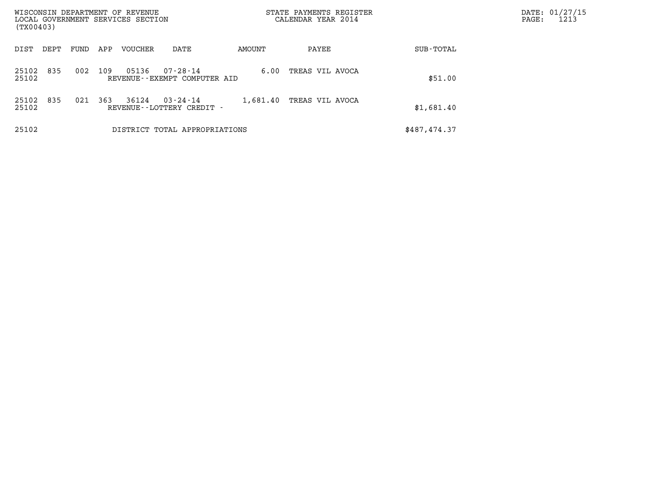| WISCONSIN DEPARTMENT OF REVENUE<br>LOCAL GOVERNMENT SERVICES SECTION<br>(TX00403) |      |     |         |                                                |          | STATE PAYMENTS REGISTER<br>CALENDAR YEAR 2014 |              | DATE: 01/27/15<br>1213<br>$\mathtt{PAGE}$ : |
|-----------------------------------------------------------------------------------|------|-----|---------|------------------------------------------------|----------|-----------------------------------------------|--------------|---------------------------------------------|
| DIST<br>DEPT                                                                      | FUND | APP | VOUCHER | DATE                                           | AMOUNT   | PAYEE                                         | SUB-TOTAL    |                                             |
| 835<br>25102<br>25102                                                             | 002  | 109 | 05136   | $07 - 28 - 14$<br>REVENUE--EXEMPT COMPUTER AID | 6.00     | TREAS VIL AVOCA                               | \$51.00      |                                             |
| 835<br>25102<br>25102                                                             | 021  | 363 | 36124   | $03 - 24 - 14$<br>REVENUE - - LOTTERY CREDIT - | 1,681.40 | TREAS VIL AVOCA                               | \$1,681.40   |                                             |
| 25102                                                                             |      |     |         | DISTRICT TOTAL APPROPRIATIONS                  |          |                                               | \$487,474.37 |                                             |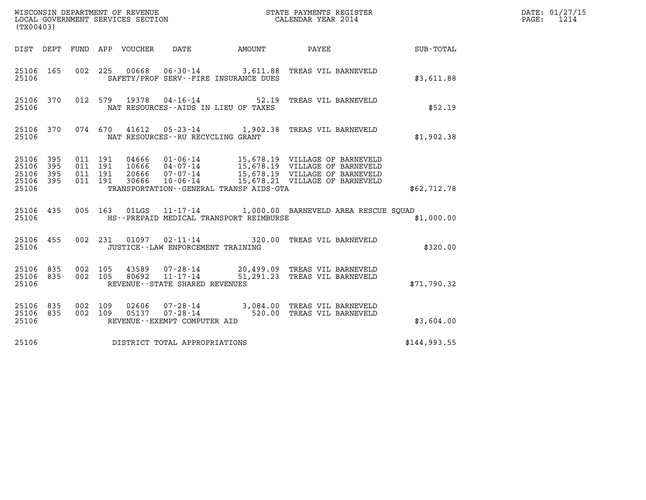| (TX00403)                                 |                            |                                          |         |                                  |                                                                       |        |                                                                                                                                                                                          |              | DATE: 01/27/15<br>1214<br>$\mathtt{PAGE}$ : |
|-------------------------------------------|----------------------------|------------------------------------------|---------|----------------------------------|-----------------------------------------------------------------------|--------|------------------------------------------------------------------------------------------------------------------------------------------------------------------------------------------|--------------|---------------------------------------------|
| DIST DEPT                                 |                            |                                          |         | FUND APP VOUCHER                 | DATE                                                                  | AMOUNT | PAYEE                                                                                                                                                                                    | SUB-TOTAL    |                                             |
| 25106 165<br>25106                        |                            | 002 225                                  |         |                                  | SAFETY/PROF SERV--FIRE INSURANCE DUES                                 |        | 00668  06-30-14  3,611.88  TREAS VIL BARNEVELD                                                                                                                                           | \$3,611.88   |                                             |
| 25106 370<br>25106                        |                            |                                          | 012 579 | 19378                            | $04 - 16 - 14$ 52.19<br>NAT RESOURCES--AIDS IN LIEU OF TAXES          |        | TREAS VIL BARNEVELD                                                                                                                                                                      | \$52.19      |                                             |
| 25106 370<br>25106                        |                            | 074 670                                  |         | 41612                            | NAT RESOURCES--RU RECYCLING GRANT                                     |        | 05-23-14 1,902.38 TREAS VIL BARNEVELD                                                                                                                                                    | \$1,902.38   |                                             |
| 25106<br>25106<br>25106<br>25106<br>25106 | 395<br>395<br>395<br>- 395 | 011 191<br>011 191<br>011 191<br>011 191 |         | 04666<br>10666<br>20666<br>30666 | 07-07-14<br>$10 - 06 - 14$<br>TRANSPORTATION--GENERAL TRANSP AIDS-GTA |        | 15,678.19 VILLAGE OF BARNEVELD<br>01-06-14 15,678.19 VILLAGE OF BARNEVELD<br>04-07-14 15,678.19 VILLAGE OF BARNEVELD<br>15,678.19 VILLAGE OF BARNEVELD<br>15,678.21 VILLAGE OF BARNEVELD | \$62,712.78  |                                             |
| 25106 435<br>25106                        |                            |                                          | 005 163 | 01LGS                            | HS--PREPAID MEDICAL TRANSPORT REIMBURSE                               |        | 11-17-14 1,000.00 BARNEVELD AREA RESCUE SOUAD                                                                                                                                            | \$1,000.00   |                                             |
| 25106 455<br>25106                        |                            |                                          | 002 231 | 01097                            | $02 - 11 - 14$<br>JUSTICE - - LAW ENFORCEMENT TRAINING                |        | 320.00 TREAS VIL BARNEVELD                                                                                                                                                               | \$320.00     |                                             |
| 25106 835<br>25106<br>25106               | 835                        | 002 105<br>002 105                       |         | 43589<br>80692                   | 07-28-14<br>$11 - 17 - 14$<br>REVENUE - - STATE SHARED REVENUES       |        | 20,499.09 TREAS VIL BARNEVELD<br>51,291.23 TREAS VIL BARNEVELD                                                                                                                           | \$71,790.32  |                                             |
| 25106 835<br>25106 835<br>25106           |                            | 002<br>002 109                           | 109     | 02606<br>05137                   | 07-28-14<br>07-28-14<br>REVENUE--EXEMPT COMPUTER AID                  |        | 3,084.00 TREAS VIL BARNEVELD<br>520.00 TREAS VIL BARNEVELD                                                                                                                               | \$3,604.00   |                                             |
| 25106                                     |                            |                                          |         |                                  | DISTRICT TOTAL APPROPRIATIONS                                         |        |                                                                                                                                                                                          | \$144,993.55 |                                             |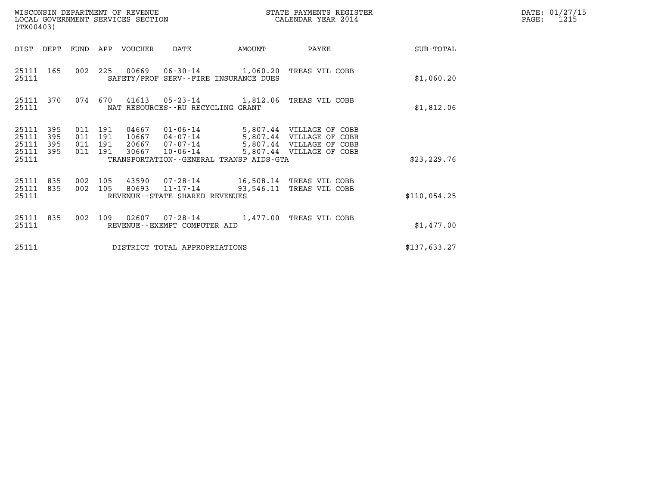| (TX00403)                                 |                          |                                          |         | WISCONSIN DEPARTMENT OF REVENUE<br>LOCAL GOVERNMENT SERVICES SECTION |                                                                       |        | STATE PAYMENTS REGISTER<br>CALENDAR YEAR 2014                                                                                  |              | DATE: 01/27/15<br>PAGE:<br>1215 |
|-------------------------------------------|--------------------------|------------------------------------------|---------|----------------------------------------------------------------------|-----------------------------------------------------------------------|--------|--------------------------------------------------------------------------------------------------------------------------------|--------------|---------------------------------|
| DIST DEPT                                 |                          |                                          |         | FUND APP VOUCHER                                                     | DATE                                                                  | AMOUNT | PAYEE                                                                                                                          | SUB-TOTAL    |                                 |
| 25111<br>25111                            | 165                      |                                          | 002 225 |                                                                      | SAFETY/PROF SERV--FIRE INSURANCE DUES                                 |        | 00669  06-30-14  1,060.20 TREAS VIL COBB                                                                                       | \$1,060.20   |                                 |
| 25111                                     | 25111 370                |                                          | 074 670 |                                                                      | NAT RESOURCES--RU RECYCLING GRANT                                     |        | 41613  05-23-14  1,812.06  TREAS VIL COBB                                                                                      | \$1,812.06   |                                 |
| 25111<br>25111<br>25111<br>25111<br>25111 | 395<br>395<br>395<br>395 | 011 191<br>011 191<br>011 191<br>011 191 |         | 04667<br>10667<br>20667<br>30667                                     | $07 - 07 - 14$<br>10-06-14<br>TRANSPORTATION--GENERAL TRANSP AIDS-GTA |        | 01-06-14 5,807.44 VILLAGE OF COBB<br>04-07-14 5,807.44 VILLAGE OF COBB<br>5,807.44 VILLAGE OF COBB<br>5,807.44 VILLAGE OF COBB | \$23, 229.76 |                                 |
| 25111<br>25111<br>25111                   | 835<br>835               | 002 105<br>002 105                       |         | 80693                                                                | 43590 07-28-14<br>$11 - 17 - 14$<br>REVENUE--STATE SHARED REVENUES    |        | 16,508.14 TREAS VIL COBB<br>93,546.11 TREAS VIL COBB                                                                           | \$110,054.25 |                                 |
| 25111<br>25111                            | 835                      | 002                                      | 109     |                                                                      | 02607 07-28-14<br>REVENUE--EXEMPT COMPUTER AID                        |        | 1,477.00 TREAS VIL COBB                                                                                                        | \$1,477.00   |                                 |
| 25111                                     |                          |                                          |         |                                                                      | DISTRICT TOTAL APPROPRIATIONS                                         |        |                                                                                                                                | \$137,633.27 |                                 |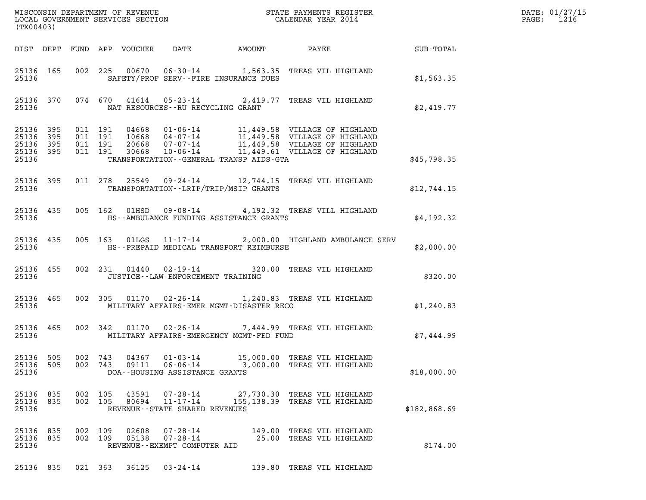| (TX00403)                                    |           |     |                                          |                            | $\mathcal{L}(\mathcal{L}(\mathcal{L})) = \mathcal{L}(\mathcal{L}(\mathcal{L}))$ | DATE: 01/27/15<br>$\mathtt{PAGE:}$<br>1216 |                                                                                                                                                                                                          |              |  |
|----------------------------------------------|-----------|-----|------------------------------------------|----------------------------|---------------------------------------------------------------------------------|--------------------------------------------|----------------------------------------------------------------------------------------------------------------------------------------------------------------------------------------------------------|--------------|--|
|                                              |           |     |                                          | DIST DEPT FUND APP VOUCHER |                                                                                 | DATE AMOUNT                                | <b>PAYEE</b> FOUND THE PAYEE                                                                                                                                                                             | SUB-TOTAL    |  |
| 25136                                        | 25136 165 |     |                                          |                            |                                                                                 | SAFETY/PROF SERV--FIRE INSURANCE DUES      | 002 225 00670 06-30-14 1,563.35 TREAS VIL HIGHLAND                                                                                                                                                       | \$1,563.35   |  |
| 25136                                        | 25136 370 |     |                                          |                            | NAT RESOURCES--RU RECYCLING GRANT                                               |                                            | 074 670 41614 05-23-14 2,419.77 TREAS VIL HIGHLAND                                                                                                                                                       | \$2,419.77   |  |
| 25136 395<br>25136 395<br>25136 395<br>25136 | 25136 395 |     | 011 191<br>011 191<br>011 191<br>011 191 |                            |                                                                                 | TRANSPORTATION--GENERAL TRANSP AIDS-GTA    | 04668  01-06-14  11,449.58  VILLAGE OF HIGHLAND<br>10668  04-07-14  11,449.58  VILLAGE OF HIGHLAND<br>20668  07-07-14  11,449.58  VILLAGE OF HIGHLAND<br>30668  10-06-14  11,449.61  VILLAGE OF HIGHLAND | \$45,798.35  |  |
| 25136                                        | 25136 395 |     |                                          |                            |                                                                                 | TRANSPORTATION - - LRIP/TRIP/MSIP GRANTS   | 011 278 25549 09-24-14 12,744.15 TREAS VIL HIGHLAND                                                                                                                                                      | \$12,744.15  |  |
| 25136 435<br>25136                           |           |     |                                          |                            |                                                                                 | HS--AMBULANCE FUNDING ASSISTANCE GRANTS    | 005 162 01HSD 09-08-14 4,192.32 TREAS VILL HIGHLAND                                                                                                                                                      | \$4,192.32   |  |
| 25136 435<br>25136                           |           |     |                                          |                            |                                                                                 | HS--PREPAID MEDICAL TRANSPORT REIMBURSE    | 005 163 01LGS 11-17-14 2,000.00 HIGHLAND AMBULANCE SERV                                                                                                                                                  | \$2,000.00   |  |
| 25136                                        | 25136 455 |     |                                          |                            | JUSTICE - - LAW ENFORCEMENT TRAINING                                            |                                            | 002 231 01440 02-19-14 320.00 TREAS VIL HIGHLAND                                                                                                                                                         | \$320.00     |  |
| 25136 465<br>25136                           |           |     | 002 305                                  |                            |                                                                                 | MILITARY AFFAIRS-EMER MGMT-DISASTER RECO   | 01170  02-26-14   1,240.83   TREAS VIL HIGHLAND                                                                                                                                                          | \$1,240.83   |  |
| 25136                                        | 25136 465 |     |                                          |                            |                                                                                 | MILITARY AFFAIRS-EMERGENCY MGMT-FED FUND   | 002 342 01170 02-26-14 7,444.99 TREAS VIL HIGHLAND                                                                                                                                                       | \$7,444.99   |  |
| 25136<br>25136 505<br>25136                  | 505       | 002 | 743<br>002 743                           | 04367<br>09111             | $01 - 03 - 14$<br>$06 - 06 - 14$<br>DOA--HOUSING ASSISTANCE GRANTS              | 15,000.00                                  | TREAS VIL HIGHLAND<br>3,000.00 TREAS VIL HIGHLAND                                                                                                                                                        | \$18,000.00  |  |
| 25136 835<br>25136 835<br>25136              |           |     | 002 105<br>002 105                       | 43591<br>80694             | 07-28-14<br>$11 - 17 - 14$<br>REVENUE--STATE SHARED REVENUES                    |                                            | 27,730.30 TREAS VIL HIGHLAND<br>155,138.39 TREAS VIL HIGHLAND                                                                                                                                            | \$182,868.69 |  |
| 25136 835<br>25136 835<br>25136              |           |     | 002 109<br>002 109                       | 02608<br>05138             | 07-28-14<br>07-28-14<br>REVENUE - - EXEMPT COMPUTER AID                         | 149.00                                     | TREAS VIL HIGHLAND<br>25.00 TREAS VIL HIGHLAND                                                                                                                                                           | \$174.00     |  |
| 25136 835                                    |           |     | 021 363                                  | 36125                      | 03-24-14                                                                        |                                            | 139.80 TREAS VIL HIGHLAND                                                                                                                                                                                |              |  |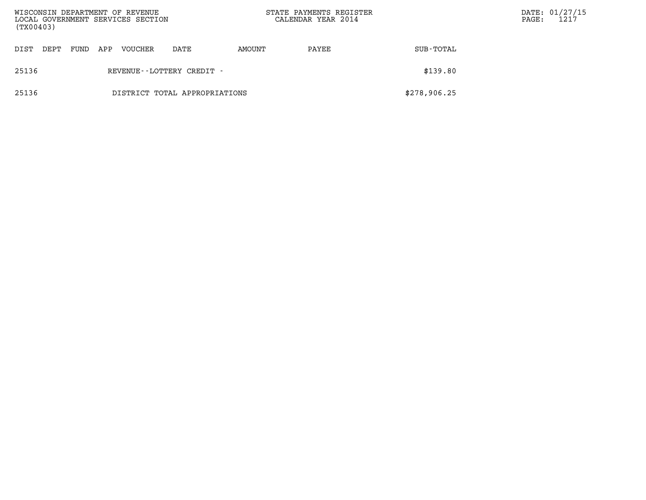| WISCONSIN DEPARTMENT OF REVENUE<br>LOCAL GOVERNMENT SERVICES SECTION<br>(TX00403) |                               |      |     |         |                              |        | STATE PAYMENTS REGISTER<br>CALENDAR YEAR 2014 |              | $\mathtt{PAGE}$ : | DATE: 01/27/15<br>1217 |
|-----------------------------------------------------------------------------------|-------------------------------|------|-----|---------|------------------------------|--------|-----------------------------------------------|--------------|-------------------|------------------------|
| DIST                                                                              | DEPT                          | FUND | APP | VOUCHER | DATE                         | AMOUNT | PAYEE                                         | SUB-TOTAL    |                   |                        |
| 25136                                                                             |                               |      |     |         | REVENUE - - LOTTERY CREDIT - |        |                                               | \$139.80     |                   |                        |
| 25136                                                                             | DISTRICT TOTAL APPROPRIATIONS |      |     |         |                              |        |                                               | \$278,906.25 |                   |                        |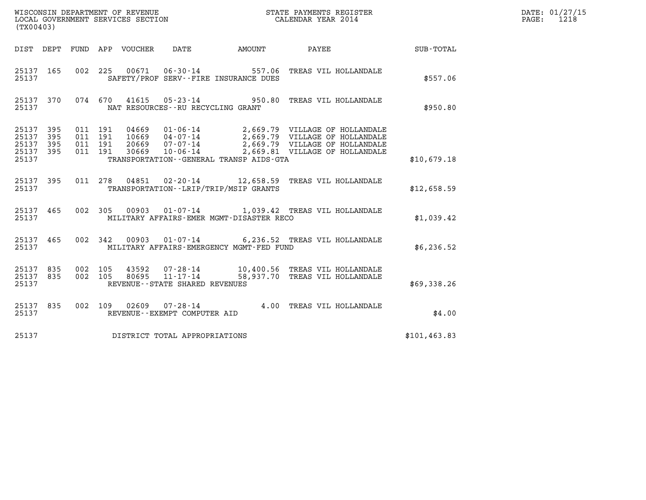| (TX00403)                                                       |                                                                                                      |                        | and the state of the state of the state of the state of the state of the state of the state of the state of th<br>The state of the state of the state of the state of the state of the state of the state of the state of the st | DATE: 01/27/15<br>$\mathtt{PAGE:}$<br>1218 |
|-----------------------------------------------------------------|------------------------------------------------------------------------------------------------------|------------------------|----------------------------------------------------------------------------------------------------------------------------------------------------------------------------------------------------------------------------------|--------------------------------------------|
|                                                                 | DIST DEPT FUND APP VOUCHER<br>DATE                                                                   | AMOUNT PAYEE SUB-TOTAL |                                                                                                                                                                                                                                  |                                            |
| 25137 165<br>25137                                              | 00671  06-30-14  557.06  TREAS VIL HOLLANDALE<br>002 225<br>SAFETY/PROF SERV--FIRE INSURANCE DUES    |                        | \$557.06                                                                                                                                                                                                                         |                                            |
| 25137 370<br>25137                                              | 074 670 41615 05-23-14 950.80 TREAS VIL HOLLANDALE<br>NAT RESOURCES -- RU RECYCLING GRANT            |                        | \$950.80                                                                                                                                                                                                                         |                                            |
| 25137 395<br>395<br>25137<br>395<br>25137<br>25137 395<br>25137 | 011 191<br>011 191<br>011 191<br>011 191<br>TRANSPORTATION--GENERAL TRANSP AIDS-GTA                  |                        | \$10,679.18                                                                                                                                                                                                                      |                                            |
| 25137 395<br>25137                                              | 04851 02-20-14 12,658.59 TREAS VIL HOLLANDALE<br>011 278<br>TRANSPORTATION - - LRIP/TRIP/MSIP GRANTS |                        | \$12,658.59                                                                                                                                                                                                                      |                                            |
| 25137 465<br>25137                                              | 002 305 00903 01-07-14 1,039.42 TREAS VIL HOLLANDALE<br>MILITARY AFFAIRS-EMER MGMT-DISASTER RECO     |                        | \$1,039.42                                                                                                                                                                                                                       |                                            |
| 25137 465<br>25137                                              | 002 342 00903 01-07-14 6,236.52 TREAS VIL HOLLANDALE<br>MILITARY AFFAIRS-EMERGENCY MGMT-FED FUND     |                        | \$6,236.52                                                                                                                                                                                                                       |                                            |
| 25137 835<br>25137 835<br>25137                                 | 002 105<br>002 105<br>REVENUE - - STATE SHARED REVENUES                                              |                        | \$69,338.26                                                                                                                                                                                                                      |                                            |
| 25137 835<br>25137                                              | 002 109 02609 07-28-14 4.00 TREAS VIL HOLLANDALE<br>REVENUE--EXEMPT COMPUTER AID                     |                        | \$4.00                                                                                                                                                                                                                           |                                            |
| 25137                                                           | DISTRICT TOTAL APPROPRIATIONS                                                                        |                        | \$101, 463.83                                                                                                                                                                                                                    |                                            |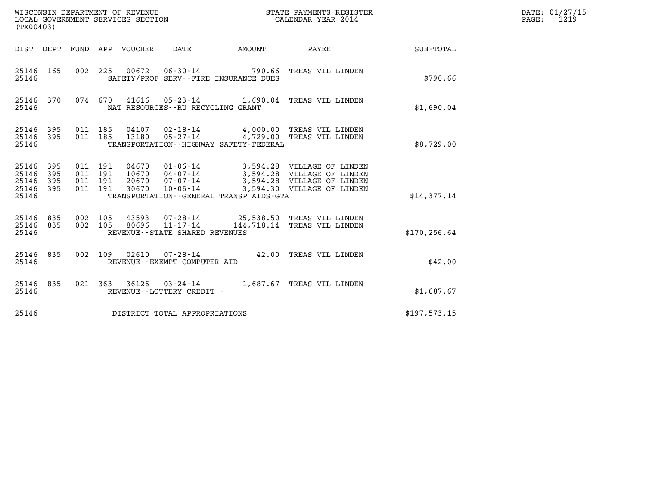| (TX00403)                                         |            |                                          |                                 | WISCONSIN DEPARTMENT OF REVENUE<br>LOCAL GOVERNMENT SERVICES SECTION |                                                                        | STATE PAYMENTS REGISTER<br>CALENDAR YEAR 2014                                                                                                                                         |                  | DATE: 01/27/15<br>$\mathtt{PAGE:}$<br>1219 |
|---------------------------------------------------|------------|------------------------------------------|---------------------------------|----------------------------------------------------------------------|------------------------------------------------------------------------|---------------------------------------------------------------------------------------------------------------------------------------------------------------------------------------|------------------|--------------------------------------------|
|                                                   |            |                                          | DIST DEPT FUND APP VOUCHER DATE |                                                                      | AMOUNT PAYEE                                                           |                                                                                                                                                                                       | <b>SUB-TOTAL</b> |                                            |
| 25146 165<br>25146                                |            |                                          |                                 |                                                                      | 002 225 00672 06-30-14 790.66<br>SAFETY/PROF SERV--FIRE INSURANCE DUES | TREAS VIL LINDEN                                                                                                                                                                      | \$790.66         |                                            |
| 25146 370<br>25146                                |            |                                          |                                 | NAT RESOURCES - - RU RECYCLING GRANT                                 |                                                                        | 074 670 41616 05-23-14 1,690.04 TREAS VIL LINDEN                                                                                                                                      | \$1,690.04       |                                            |
| 25146 395<br>25146 395<br>25146                   |            | 011 185<br>011 185                       | 04107<br>13180                  | 05-27-14                                                             | TRANSPORTATION - - HIGHWAY SAFETY - FEDERAL                            | 02-18-14 4,000.00 TREAS VIL LINDEN<br>4,729.00 TREAS VIL LINDEN                                                                                                                       | \$8,729.00       |                                            |
| 25146 395<br>25146<br>25146<br>25146 395<br>25146 | 395<br>395 | 011 191<br>011 191<br>011 191<br>011 191 |                                 |                                                                      | TRANSPORTATION - - GENERAL TRANSP AIDS - GTA                           | 04670  01-06-14  3,594.28  VILLAGE OF LINDEN<br>10670  04-07-14  3,594.28 VILLAGE OF LINDEN<br>20670 07-07-14 3,594.28 VILLAGE OF LINDEN<br>30670 10-06-14 3,594.30 VILLAGE OF LINDEN | \$14,377.14      |                                            |
| 25146 835<br>25146 835<br>25146                   |            | 002 105<br>002 105                       | 43593                           | 80696 11-17-14<br>REVENUE - - STATE SHARED REVENUES                  |                                                                        | 07-28-14 25,538.50 TREAS VIL LINDEN<br>144,718.14 TREAS VIL LINDEN                                                                                                                    | \$170, 256.64    |                                            |
| 25146 835<br>25146                                |            |                                          |                                 | REVENUE--EXEMPT COMPUTER AID                                         |                                                                        | 002 109 02610 07-28-14 42.00 TREAS VIL LINDEN                                                                                                                                         | \$42.00          |                                            |
| 25146 835<br>25146                                |            |                                          |                                 | REVENUE--LOTTERY CREDIT -                                            |                                                                        | 021 363 36126 03-24-14 1,687.67 TREAS VIL LINDEN                                                                                                                                      | \$1,687.67       |                                            |
| 25146                                             |            |                                          |                                 | DISTRICT TOTAL APPROPRIATIONS                                        |                                                                        |                                                                                                                                                                                       | \$197,573.15     |                                            |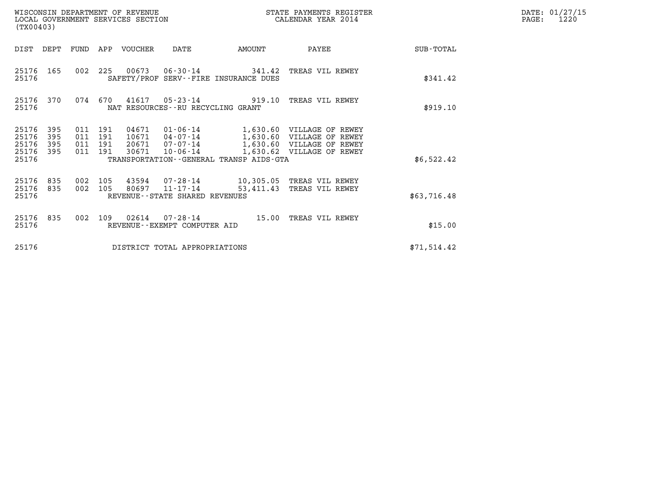| (TX00403)                                 |                                                              | WISCONSIN DEPARTMENT OF REVENUE<br>LOCAL GOVERNMENT SERVICES SECTION                                                                      |           | STATE PAYMENTS REGISTER<br>CALENDAR YEAR 2014                                                                    |             | DATE: 01/27/15<br>PAGE:<br>1220 |
|-------------------------------------------|--------------------------------------------------------------|-------------------------------------------------------------------------------------------------------------------------------------------|-----------|------------------------------------------------------------------------------------------------------------------|-------------|---------------------------------|
| DIST DEPT                                 | FUND                                                         | APP VOUCHER<br>DATE                                                                                                                       | AMOUNT    | PAYEE                                                                                                            | SUB-TOTAL   |                                 |
| 25176<br>165<br>25176                     | 002 225                                                      | 00673 06-30-14 341.42<br>SAFETY/PROF SERV--FIRE INSURANCE DUES                                                                            |           | TREAS VIL REWEY                                                                                                  | \$341.42    |                                 |
| 25176 370<br>25176                        | 074 670                                                      | 41617<br>$05 - 23 - 14$<br>NAT RESOURCES--RU RECYCLING GRANT                                                                              | 919.10    | TREAS VIL REWEY                                                                                                  | \$919.10    |                                 |
| 25176<br>25176<br>25176<br>25176<br>25176 | 395<br>011 191<br>395<br>011<br>395<br>011<br>395<br>011 191 | 01-06-14<br>04671<br>191<br>10671<br>04-07-14<br>191<br>20671<br>07-07-14<br>30671<br>10-06-14<br>TRANSPORTATION--GENERAL TRANSP AIDS-GTA |           | 1,630.60 VILLAGE OF REWEY<br>1,630.60 VILLAGE OF REWEY<br>1,630.60 VILLAGE OF REWEY<br>1,630.62 VILLAGE OF REWEY | \$6,522.42  |                                 |
| 25176<br>835<br>25176<br>835<br>25176     | 002 105<br>002 105                                           | 07-28-14<br>43594<br>80697 11-17-14<br>REVENUE--STATE SHARED REVENUES                                                                     | 53,411.43 | 10,305.05 TREAS VIL REWEY<br>TREAS VIL REWEY                                                                     | \$63,716.48 |                                 |
| 25176<br>835<br>25176                     | 002                                                          | 109<br>02614<br>07-28-14<br>REVENUE--EXEMPT COMPUTER AID                                                                                  | 15.00     | TREAS VIL REWEY                                                                                                  | \$15.00     |                                 |
| 25176                                     |                                                              | DISTRICT TOTAL APPROPRIATIONS                                                                                                             |           |                                                                                                                  | \$71,514.42 |                                 |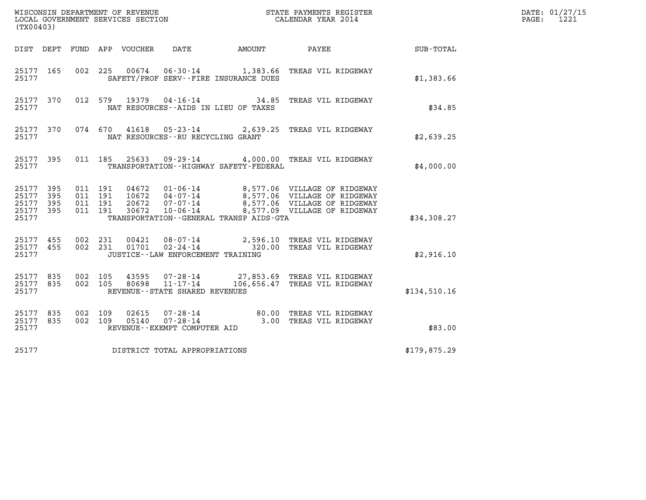| (TX00403)                                         |             |                                          |         |                |                                        |                                             |                                                                                                                                                                                                      |                  | DATE: 01/27/15<br>$\mathtt{PAGE:}$<br>1221 |
|---------------------------------------------------|-------------|------------------------------------------|---------|----------------|----------------------------------------|---------------------------------------------|------------------------------------------------------------------------------------------------------------------------------------------------------------------------------------------------------|------------------|--------------------------------------------|
|                                                   |             |                                          |         |                | DIST DEPT FUND APP VOUCHER DATE AMOUNT |                                             | PAYEE                                                                                                                                                                                                | <b>SUB-TOTAL</b> |                                            |
| 25177 165<br>25177                                |             |                                          |         |                |                                        | SAFETY/PROF SERV--FIRE INSURANCE DUES       | 002 225 00674 06-30-14 1,383.66 TREAS VIL RIDGEWAY                                                                                                                                                   | \$1,383.66       |                                            |
| 25177 370<br>25177                                |             |                                          |         |                |                                        | NAT RESOURCES -- AIDS IN LIEU OF TAXES      | 012 579 19379 04-16-14 34.85 TREAS VIL RIDGEWAY                                                                                                                                                      | \$34.85          |                                            |
| 25177 370<br>25177                                |             |                                          |         |                | NAT RESOURCES - - RU RECYCLING GRANT   |                                             | 074 670 41618 05-23-14 2,639.25 TREAS VIL RIDGEWAY                                                                                                                                                   | \$2,639.25       |                                            |
| 25177 395<br>25177                                |             |                                          |         |                |                                        | TRANSPORTATION - - HIGHWAY SAFETY - FEDERAL | 011 185 25633 09-29-14 4,000.00 TREAS VIL RIDGEWAY                                                                                                                                                   | \$4,000.00       |                                            |
| 25177 395<br>25177<br>25177<br>25177 395<br>25177 | 395<br>-395 | 011 191<br>011 191<br>011 191<br>011 191 |         |                |                                        | TRANSPORTATION--GENERAL TRANSP AIDS-GTA     | 04672  01-06-14  8,577.06  VILLAGE OF RIDGEWAY<br>10672  04-07-14  8,577.06  VILLAGE OF RIDGEWAY<br>20672  07-07-14  8,577.06  VILLAGE OF RIDGEWAY<br>30672  10-06-14  8,577.09  VILLAGE OF RIDGEWAY | \$34,308.27      |                                            |
| 25177 455 002 231<br>25177 455<br>25177           |             |                                          | 002 231 |                | JUSTICE -- LAW ENFORCEMENT TRAINING    |                                             | 00421 08-07-14 2,596.10 TREAS VIL RIDGEWAY<br>01701 02-24-14 320.00 TREAS VIL RIDGEWAY                                                                                                               | \$2,916.10       |                                            |
| 25177 835<br>25177 835<br>25177                   |             | 002 105<br>002 105                       |         |                | REVENUE - - STATE SHARED REVENUES      |                                             | 43595  07-28-14  27,853.69  TREAS VIL RIDGEWAY<br>80698  11-17-14  106,656.47  TREAS VIL RIDGEWAY                                                                                                    | \$134,510.16     |                                            |
| 25177 835<br>25177 835<br>25177                   |             | 002 109<br>002 109                       |         | 02615<br>05140 | REVENUE--EXEMPT COMPUTER AID           |                                             | 07-28-14 80.00 TREAS VIL RIDGEWAY<br>07-28-14 07-28-14 3.00 TREAS VIL RIDGEWAY                                                                                                                       | \$83.00          |                                            |
| 25177                                             |             |                                          |         |                | DISTRICT TOTAL APPROPRIATIONS          |                                             |                                                                                                                                                                                                      | \$179,875.29     |                                            |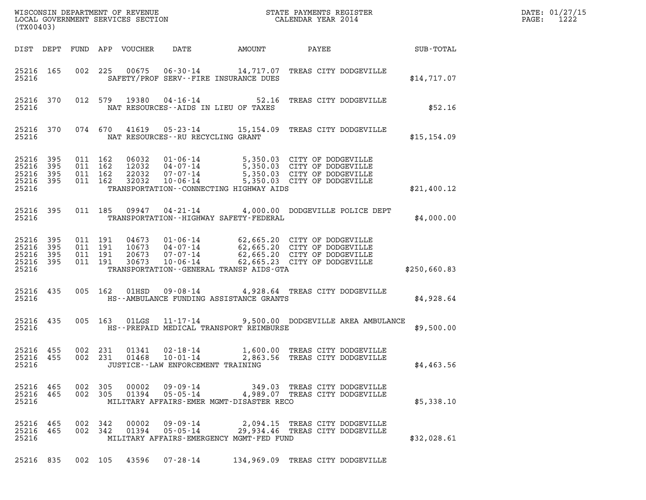| (TX00403)                                 |                                |         |                                          |                                  |                                                       |                                             |                                                                                                                                                                                                                 | DATE: 01/27/15<br>$\mathtt{PAGE:}$<br>1222 |  |
|-------------------------------------------|--------------------------------|---------|------------------------------------------|----------------------------------|-------------------------------------------------------|---------------------------------------------|-----------------------------------------------------------------------------------------------------------------------------------------------------------------------------------------------------------------|--------------------------------------------|--|
|                                           | DIST DEPT                      |         |                                          | FUND APP VOUCHER                 | DATE                                                  | AMOUNT                                      | PAYEE SUB-TOTAL                                                                                                                                                                                                 |                                            |  |
| 25216                                     | 25216 165                      |         |                                          | 002 225 00675                    |                                                       | SAFETY/PROF SERV--FIRE INSURANCE DUES       | 06-30-14 14,717.07 TREAS CITY DODGEVILLE                                                                                                                                                                        | \$14,717.07                                |  |
| 25216                                     | 25216 370                      |         |                                          | 012 579 19380                    |                                                       | NAT RESOURCES -- AIDS IN LIEU OF TAXES      | 04-16-14 52.16 TREAS CITY DODGEVILLE                                                                                                                                                                            | \$52.16                                    |  |
| 25216                                     | 25216 370                      |         | 074 670                                  | 41619                            | NAT RESOURCES--RU RECYCLING GRANT                     |                                             | 05-23-14 15,154.09 TREAS CITY DODGEVILLE                                                                                                                                                                        | \$15, 154.09                               |  |
| 25216<br>25216<br>25216<br>25216<br>25216 | 395<br>395<br>395<br>- 395     |         | 011 162<br>011 162<br>011 162<br>011 162 | 06032<br>12032<br>22032<br>32032 |                                                       | TRANSPORTATION--CONNECTING HIGHWAY AIDS     | 01-06-14<br>04-07-14<br>07-07-14<br>07-07-14<br>5,350.03<br>07-06-14<br>5,350.03<br>07-06-14<br>5,350.03<br>07-06-14<br>5,350.03<br>07-07-14<br>07-06-14<br>5,350.03<br>07-07-14<br>5,350.03 CITY OF DODGEVILLE | \$21,400.12                                |  |
| 25216                                     | 25216 395                      |         | 011 185                                  | 09947                            |                                                       | TRANSPORTATION - - HIGHWAY SAFETY - FEDERAL | 04-21-14 4,000.00 DODGEVILLE POLICE DEPT                                                                                                                                                                        | \$4,000.00                                 |  |
| 25216<br>25216<br>25216<br>25216          | 395<br>395<br>395<br>25216 395 |         | 011 191<br>011 191<br>011 191<br>011 191 | 04673<br>10673<br>20673<br>30673 |                                                       | TRANSPORTATION--GENERAL TRANSP AIDS-GTA     | 01-06-14 62,665.20 CITY OF DODGEVILLE<br>04-07-14 62,665.20 CITY OF DODGEVILLE<br>07-07-14 62,665.20 CITY OF DODGEVILLE<br>10-06-14 62,665.23 CITY OF DODGEVILLE                                                | \$250,660.83                               |  |
| 25216                                     | 25216 435                      |         |                                          | 005 162 01HSD                    |                                                       | HS--AMBULANCE FUNDING ASSISTANCE GRANTS     | 09-08-14 4,928.64 TREAS CITY DODGEVILLE                                                                                                                                                                         | \$4,928.64                                 |  |
| 25216                                     | 25216 435                      |         | 005 163                                  | 01LGS                            |                                                       | HS--PREPAID MEDICAL TRANSPORT REIMBURSE     | 11-17-14 9,500.00 DODGEVILLE AREA AMBULANCE                                                                                                                                                                     | \$9,500.00                                 |  |
| 25216                                     | 25216 455<br>25216 455         |         | 002 231                                  | 01341                            | $02 - 18 - 14$<br>JUSTICE -- LAW ENFORCEMENT TRAINING |                                             | 1,600.00 TREAS CITY DODGEVILLE<br>002 231 01468 10-01-14 2,863.56 TREAS CITY DODGEVILLE                                                                                                                         | \$4,463.56                                 |  |
| 25216                                     | 25216 465<br>25216 465         | 002 305 |                                          | 00002<br>002 305 01394           |                                                       | MILITARY AFFAIRS-EMER MGMT-DISASTER RECO    | 09-09-14 349.03 TREAS CITY DODGEVILLE<br>05-05-14 4,989.07 TREAS CITY DODGEVILLE                                                                                                                                | \$5,338.10                                 |  |
| 25216                                     | 25216 465<br>25216 465         |         | 002 342                                  | 002 342 00002<br>01394           | 09 - 09 - 14                                          | MILITARY AFFAIRS-EMERGENCY MGMT-FED FUND    | 2,094.15 TREAS CITY DODGEVILLE<br>05-05-14 29,934.46 TREAS CITY DODGEVILLE                                                                                                                                      | \$32,028.61                                |  |
|                                           |                                |         |                                          |                                  |                                                       |                                             | 25216 835 002 105 43596 07-28-14 134,969.09 TREAS CITY DODGEVILLE                                                                                                                                               |                                            |  |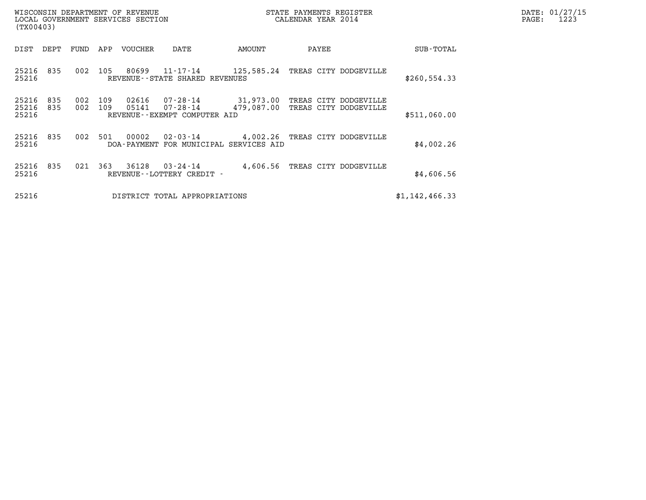| (TX00403)               |            |            |            | WISCONSIN DEPARTMENT OF REVENUE<br>LOCAL GOVERNMENT SERVICES SECTION |                                                                                        |                                  | STATE PAYMENTS REGISTER<br>CALENDAR YEAR 2014 |                | DATE: 01/27/15<br>PAGE:<br>1223 |
|-------------------------|------------|------------|------------|----------------------------------------------------------------------|----------------------------------------------------------------------------------------|----------------------------------|-----------------------------------------------|----------------|---------------------------------|
| DIST                    | DEPT       | FUND       | APP        | VOUCHER                                                              | DATE                                                                                   | AMOUNT                           | PAYEE                                         | SUB-TOTAL      |                                 |
| 25216 835<br>25216      |            | 002        | 105        |                                                                      | 80699  11-17-14  125,585.24 TREAS CITY DODGEVILLE<br>REVENUE - - STATE SHARED REVENUES |                                  |                                               | \$260, 554.33  |                                 |
| 25216<br>25216<br>25216 | 835<br>835 | 002<br>002 | 109<br>109 | 02616<br>05141                                                       | 07-28-14 31,973.00 TREAS CITY DODGEVILLE<br>07-28-14<br>REVENUE--EXEMPT COMPUTER AID   | 479,087.00 TREAS CITY DODGEVILLE |                                               | \$511,060.00   |                                 |
| 25216 835<br>25216      |            | 002        | 501        | 00002                                                                | 02-03-14 4,002.26 TREAS CITY DODGEVILLE<br>DOA-PAYMENT FOR MUNICIPAL SERVICES AID      |                                  |                                               | \$4,002.26     |                                 |
| 25216 835<br>25216      |            | 021        | 363        | 36128                                                                | 03-24-14<br>REVENUE--LOTTERY CREDIT -                                                  |                                  | 4,606.56 TREAS CITY DODGEVILLE                | \$4,606.56     |                                 |
| 25216                   |            |            |            |                                                                      | DISTRICT TOTAL APPROPRIATIONS                                                          |                                  |                                               | \$1,142,466.33 |                                 |